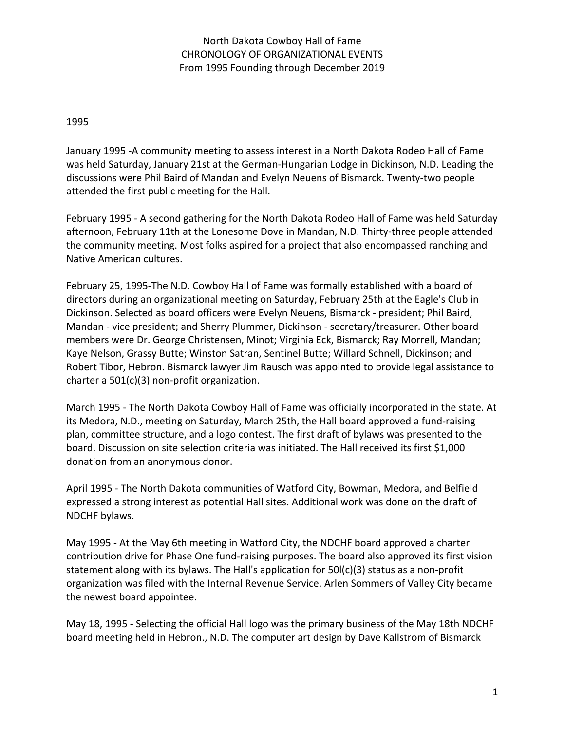January 1995 -A community meeting to assess interest in a North Dakota Rodeo Hall of Fame was held Saturday, January 21st at the German-Hungarian Lodge in Dickinson, N.D. Leading the discussions were Phil Baird of Mandan and Evelyn Neuens of Bismarck. Twenty-two people attended the first public meeting for the Hall.

February 1995 - A second gathering for the North Dakota Rodeo Hall of Fame was held Saturday afternoon, February 11th at the Lonesome Dove in Mandan, N.D. Thirty-three people attended the community meeting. Most folks aspired for a project that also encompassed ranching and Native American cultures.

February 25, 1995-The N.D. Cowboy Hall of Fame was formally established with a board of directors during an organizational meeting on Saturday, February 25th at the Eagle's Club in Dickinson. Selected as board officers were Evelyn Neuens, Bismarck - president; Phil Baird, Mandan - vice president; and Sherry Plummer, Dickinson - secretary/treasurer. Other board members were Dr. George Christensen, Minot; Virginia Eck, Bismarck; Ray Morrell, Mandan; Kaye Nelson, Grassy Butte; Winston Satran, Sentinel Butte; Willard Schnell, Dickinson; and Robert Tibor, Hebron. Bismarck lawyer Jim Rausch was appointed to provide legal assistance to charter a 501(c)(3) non-profit organization.

March 1995 - The North Dakota Cowboy Hall of Fame was officially incorporated in the state. At its Medora, N.D., meeting on Saturday, March 25th, the Hall board approved a fund-raising plan, committee structure, and a logo contest. The first draft of bylaws was presented to the board. Discussion on site selection criteria was initiated. The Hall received its first \$1,000 donation from an anonymous donor.

April 1995 - The North Dakota communities of Watford City, Bowman, Medora, and Belfield expressed a strong interest as potential Hall sites. Additional work was done on the draft of NDCHF bylaws.

May 1995 - At the May 6th meeting in Watford City, the NDCHF board approved a charter contribution drive for Phase One fund-raising purposes. The board also approved its first vision statement along with its bylaws. The Hall's application for 50l(c)(3) status as a non-profit organization was filed with the Internal Revenue Service. Arlen Sommers of Valley City became the newest board appointee.

May 18, 1995 - Selecting the official Hall logo was the primary business of the May 18th NDCHF board meeting held in Hebron., N.D. The computer art design by Dave Kallstrom of Bismarck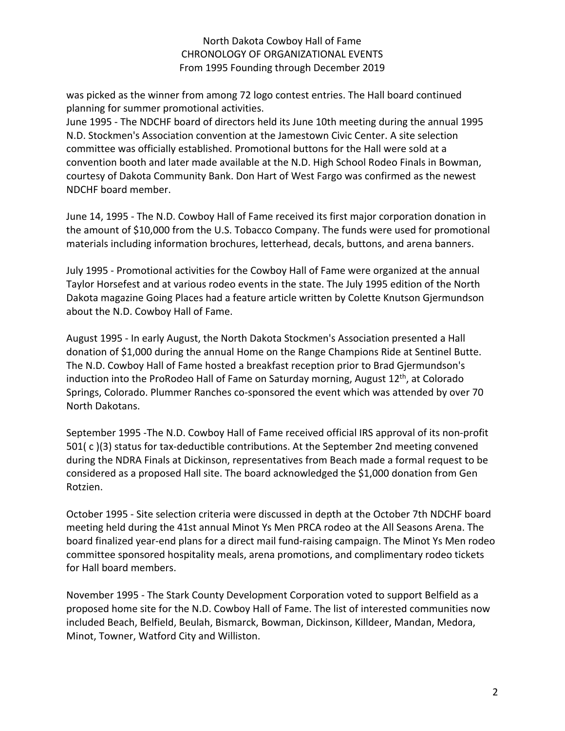was picked as the winner from among 72 logo contest entries. The Hall board continued planning for summer promotional activities.

June 1995 - The NDCHF board of directors held its June 10th meeting during the annual 1995 N.D. Stockmen's Association convention at the Jamestown Civic Center. A site selection committee was officially established. Promotional buttons for the Hall were sold at a convention booth and later made available at the N.D. High School Rodeo Finals in Bowman, courtesy of Dakota Community Bank. Don Hart of West Fargo was confirmed as the newest NDCHF board member.

June 14, 1995 - The N.D. Cowboy Hall of Fame received its first major corporation donation in the amount of \$10,000 from the U.S. Tobacco Company. The funds were used for promotional materials including information brochures, letterhead, decals, buttons, and arena banners.

July 1995 - Promotional activities for the Cowboy Hall of Fame were organized at the annual Taylor Horsefest and at various rodeo events in the state. The July 1995 edition of the North Dakota magazine Going Places had a feature article written by Colette Knutson Gjermundson about the N.D. Cowboy Hall of Fame.

August 1995 - In early August, the North Dakota Stockmen's Association presented a Hall donation of \$1,000 during the annual Home on the Range Champions Ride at Sentinel Butte. The N.D. Cowboy Hall of Fame hosted a breakfast reception prior to Brad Gjermundson's induction into the ProRodeo Hall of Fame on Saturday morning, August  $12<sup>th</sup>$ , at Colorado Springs, Colorado. Plummer Ranches co-sponsored the event which was attended by over 70 North Dakotans.

September 1995 -The N.D. Cowboy Hall of Fame received official IRS approval of its non-profit 501( c )(3) status for tax-deductible contributions. At the September 2nd meeting convened during the NDRA Finals at Dickinson, representatives from Beach made a formal request to be considered as a proposed Hall site. The board acknowledged the \$1,000 donation from Gen Rotzien.

October 1995 - Site selection criteria were discussed in depth at the October 7th NDCHF board meeting held during the 41st annual Minot Ys Men PRCA rodeo at the All Seasons Arena. The board finalized year-end plans for a direct mail fund-raising campaign. The Minot Ys Men rodeo committee sponsored hospitality meals, arena promotions, and complimentary rodeo tickets for Hall board members.

November 1995 - The Stark County Development Corporation voted to support Belfield as a proposed home site for the N.D. Cowboy Hall of Fame. The list of interested communities now included Beach, Belfield, Beulah, Bismarck, Bowman, Dickinson, Killdeer, Mandan, Medora, Minot, Towner, Watford City and Williston.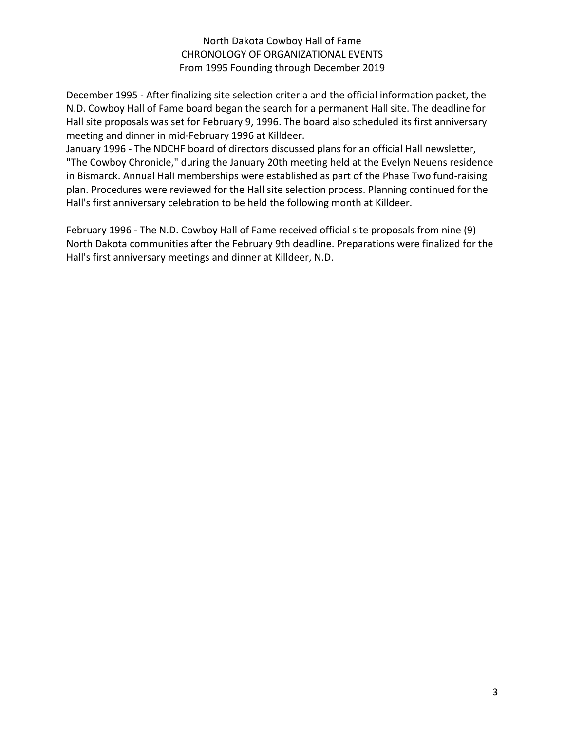December 1995 - After finalizing site selection criteria and the official information packet, the N.D. Cowboy Hall of Fame board began the search for a permanent Hall site. The deadline for Hall site proposals was set for February 9, 1996. The board also scheduled its first anniversary meeting and dinner in mid-February 1996 at Killdeer.

January 1996 - The NDCHF board of directors discussed plans for an official Hall newsletter, "The Cowboy Chronicle," during the January 20th meeting held at the Evelyn Neuens residence in Bismarck. Annual HalI memberships were established as part of the Phase Two fund-raising plan. Procedures were reviewed for the Hall site selection process. Planning continued for the Hall's first anniversary celebration to be held the following month at Killdeer.

February 1996 - The N.D. Cowboy Hall of Fame received official site proposals from nine (9) North Dakota communities after the February 9th deadline. Preparations were finalized for the Hall's first anniversary meetings and dinner at Killdeer, N.D.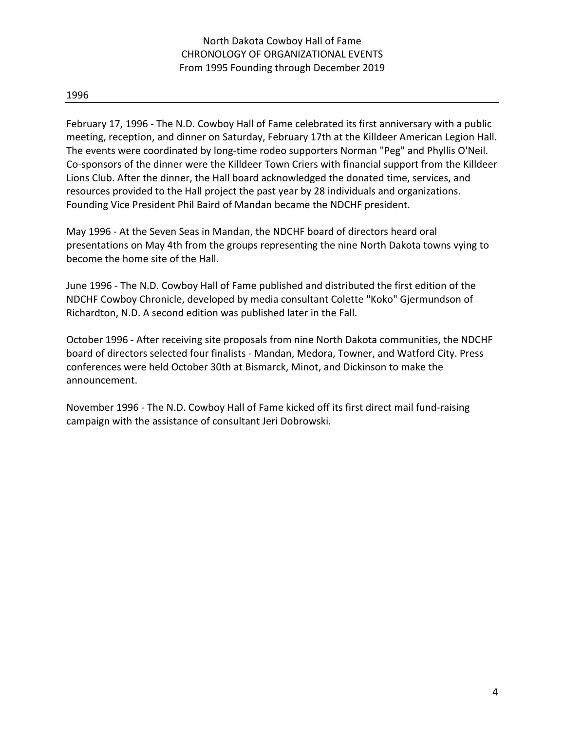February 17, 1996 - The N.D. Cowboy Hall of Fame celebrated its first anniversary with a public meeting, reception, and dinner on Saturday, February 17th at the Killdeer American Legion Hall. The events were coordinated by long-time rodeo supporters Norman "Peg" and Phyllis O'Neil. Co-sponsors of the dinner were the Killdeer Town Criers with financial support from the Killdeer Lions Club. After the dinner, the Hall board acknowledged the donated time, services, and resources provided to the Hall project the past year by 28 individuals and organizations. Founding Vice President Phil Baird of Mandan became the NDCHF president.

May 1996 - At the Seven Seas in Mandan, the NDCHF board of directors heard oral presentations on May 4th from the groups representing the nine North Dakota towns vying to become the home site of the Hall.

June 1996 - The N.D. Cowboy Hall of Fame published and distributed the first edition of the NDCHF Cowboy Chronicle, developed by media consultant Colette "Koko" Gjermundson of Richardton, N.D. A second edition was published later in the Fall.

October 1996 - After receiving site proposals from nine North Dakota communities, the NDCHF board of directors selected four finalists - Mandan, Medora, Towner, and Watford City. Press conferences were held October 30th at Bismarck, Minot, and Dickinson to make the announcement.

November 1996 - The N.D. Cowboy Hall of Fame kicked off its first direct mail fund-raising campaign with the assistance of consultant Jeri Dobrowski.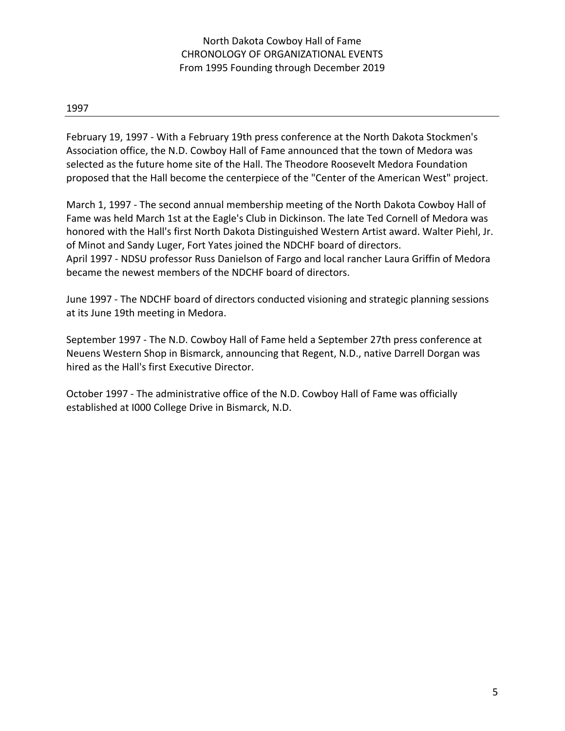February 19, 1997 - With a February 19th press conference at the North Dakota Stockmen's Association office, the N.D. Cowboy Hall of Fame announced that the town of Medora was selected as the future home site of the Hall. The Theodore Roosevelt Medora Foundation proposed that the Hall become the centerpiece of the "Center of the American West" project.

March 1, 1997 - The second annual membership meeting of the North Dakota Cowboy Hall of Fame was held March 1st at the Eagle's Club in Dickinson. The late Ted Cornell of Medora was honored with the Hall's first North Dakota Distinguished Western Artist award. Walter Piehl, Jr. of Minot and Sandy Luger, Fort Yates joined the NDCHF board of directors. April 1997 - NDSU professor Russ Danielson of Fargo and local rancher Laura Griffin of Medora became the newest members of the NDCHF board of directors.

June 1997 - The NDCHF board of directors conducted visioning and strategic planning sessions at its June 19th meeting in Medora.

September 1997 - The N.D. Cowboy Hall of Fame held a September 27th press conference at Neuens Western Shop in Bismarck, announcing that Regent, N.D., native Darrell Dorgan was hired as the Hall's first Executive Director.

October 1997 - The administrative office of the N.D. Cowboy Hall of Fame was officially established at I000 College Drive in Bismarck, N.D.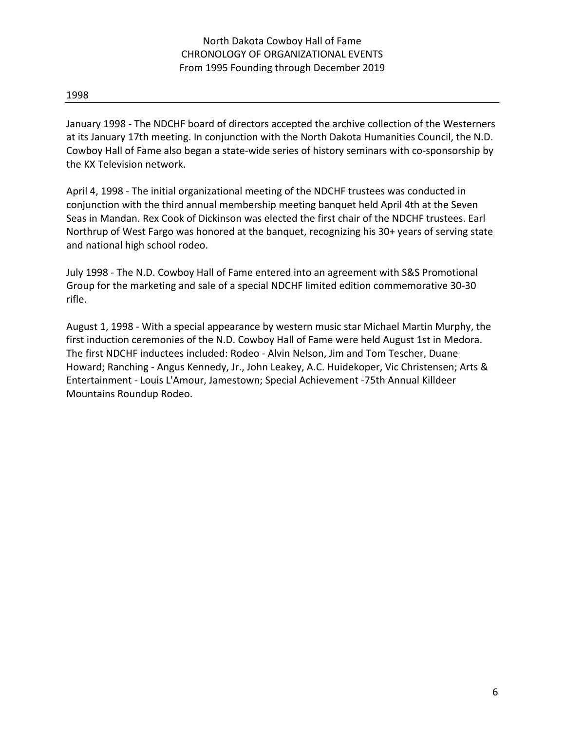January 1998 - The NDCHF board of directors accepted the archive collection of the Westerners at its January 17th meeting. In conjunction with the North Dakota Humanities Council, the N.D. Cowboy Hall of Fame also began a state-wide series of history seminars with co-sponsorship by the KX Television network.

April 4, 1998 - The initial organizational meeting of the NDCHF trustees was conducted in conjunction with the third annual membership meeting banquet held April 4th at the Seven Seas in Mandan. Rex Cook of Dickinson was elected the first chair of the NDCHF trustees. Earl Northrup of West Fargo was honored at the banquet, recognizing his 30+ years of serving state and national high school rodeo.

July 1998 - The N.D. Cowboy Hall of Fame entered into an agreement with S&S Promotional Group for the marketing and sale of a special NDCHF limited edition commemorative 30-30 rifle.

August 1, 1998 - With a special appearance by western music star Michael Martin Murphy, the first induction ceremonies of the N.D. Cowboy Hall of Fame were held August 1st in Medora. The first NDCHF inductees included: Rodeo - Alvin Nelson, Jim and Tom Tescher, Duane Howard; Ranching - Angus Kennedy, Jr., John Leakey, A.C. Huidekoper, Vic Christensen; Arts & Entertainment - Louis L'Amour, Jamestown; Special Achievement -75th Annual Killdeer Mountains Roundup Rodeo.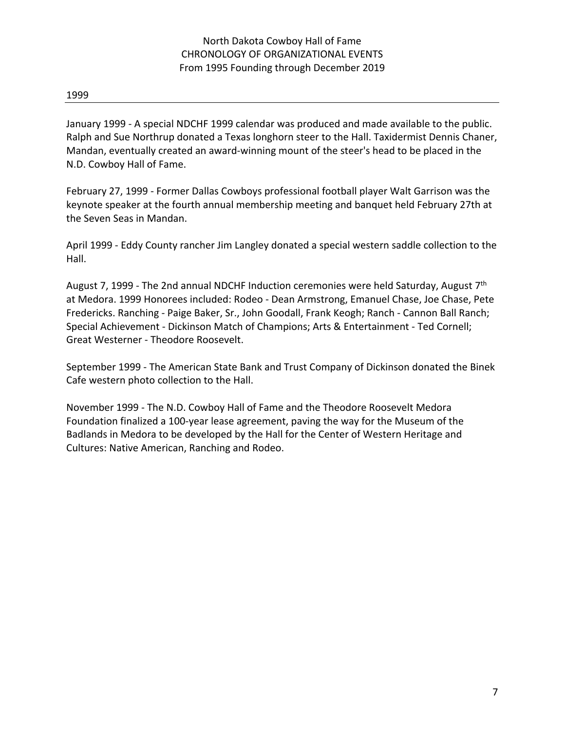January 1999 - A special NDCHF 1999 calendar was produced and made available to the public. Ralph and Sue Northrup donated a Texas longhorn steer to the Hall. Taxidermist Dennis Chaner, Mandan, eventually created an award-winning mount of the steer's head to be placed in the N.D. Cowboy Hall of Fame.

February 27, 1999 - Former Dallas Cowboys professional football player Walt Garrison was the keynote speaker at the fourth annual membership meeting and banquet held February 27th at the Seven Seas in Mandan.

April 1999 - Eddy County rancher Jim Langley donated a special western saddle collection to the Hall.

August 7, 1999 - The 2nd annual NDCHF Induction ceremonies were held Saturday, August 7<sup>th</sup> at Medora. 1999 Honorees included: Rodeo - Dean Armstrong, Emanuel Chase, Joe Chase, Pete Fredericks. Ranching - Paige Baker, Sr., John Goodall, Frank Keogh; Ranch - Cannon Ball Ranch; Special Achievement - Dickinson Match of Champions; Arts & Entertainment - Ted Cornell; Great Westerner - Theodore Roosevelt.

September 1999 - The American State Bank and Trust Company of Dickinson donated the Binek Cafe western photo collection to the Hall.

November 1999 - The N.D. Cowboy Hall of Fame and the Theodore Roosevelt Medora Foundation finalized a 100-year lease agreement, paving the way for the Museum of the Badlands in Medora to be developed by the Hall for the Center of Western Heritage and Cultures: Native American, Ranching and Rodeo.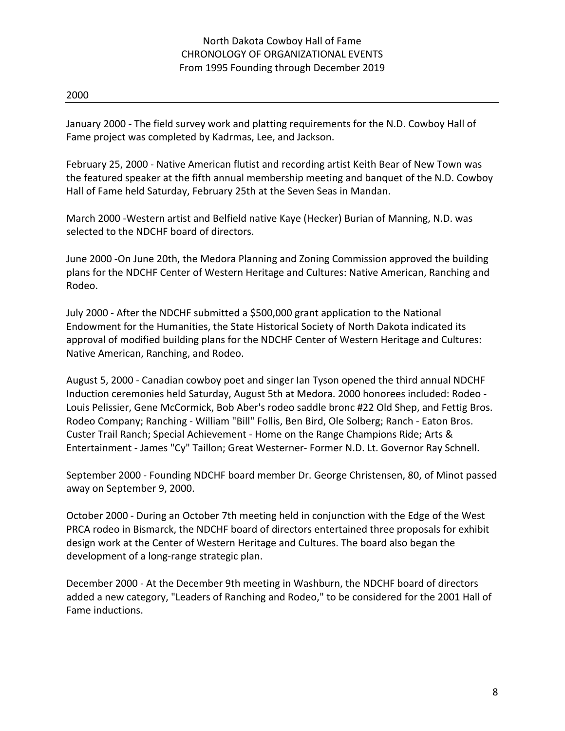January 2000 - The field survey work and platting requirements for the N.D. Cowboy Hall of Fame project was completed by Kadrmas, Lee, and Jackson.

February 25, 2000 - Native American flutist and recording artist Keith Bear of New Town was the featured speaker at the fifth annual membership meeting and banquet of the N.D. Cowboy Hall of Fame held Saturday, February 25th at the Seven Seas in Mandan.

March 2000 -Western artist and Belfield native Kaye (Hecker) Burian of Manning, N.D. was selected to the NDCHF board of directors.

June 2000 -On June 20th, the Medora Planning and Zoning Commission approved the building plans for the NDCHF Center of Western Heritage and Cultures: Native American, Ranching and Rodeo.

July 2000 - After the NDCHF submitted a \$500,000 grant application to the National Endowment for the Humanities, the State Historical Society of North Dakota indicated its approval of modified building plans for the NDCHF Center of Western Heritage and Cultures: Native American, Ranching, and Rodeo.

August 5, 2000 - Canadian cowboy poet and singer Ian Tyson opened the third annual NDCHF Induction ceremonies held Saturday, August 5th at Medora. 2000 honorees included: Rodeo - Louis Pelissier, Gene McCormick, Bob Aber's rodeo saddle bronc #22 Old Shep, and Fettig Bros. Rodeo Company; Ranching - William "Bill" Follis, Ben Bird, Ole Solberg; Ranch - Eaton Bros. Custer Trail Ranch; Special Achievement - Home on the Range Champions Ride; Arts & Entertainment - James "Cy" Taillon; Great Westerner- Former N.D. Lt. Governor Ray Schnell.

September 2000 - Founding NDCHF board member Dr. George Christensen, 80, of Minot passed away on September 9, 2000.

October 2000 - During an October 7th meeting held in conjunction with the Edge of the West PRCA rodeo in Bismarck, the NDCHF board of directors entertained three proposals for exhibit design work at the Center of Western Heritage and Cultures. The board also began the development of a long-range strategic plan.

December 2000 - At the December 9th meeting in Washburn, the NDCHF board of directors added a new category, "Leaders of Ranching and Rodeo," to be considered for the 2001 Hall of Fame inductions.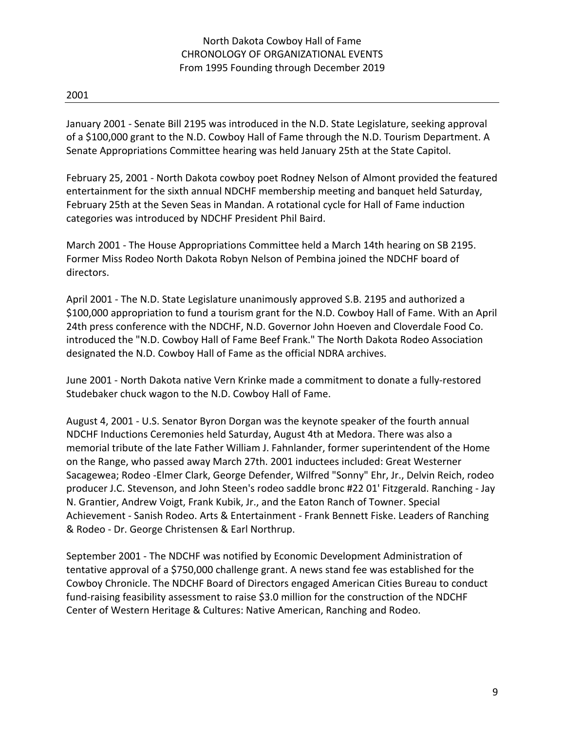January 2001 - Senate Bill 2195 was introduced in the N.D. State Legislature, seeking approval of a \$100,000 grant to the N.D. Cowboy Hall of Fame through the N.D. Tourism Department. A Senate Appropriations Committee hearing was held January 25th at the State Capitol.

February 25, 2001 - North Dakota cowboy poet Rodney Nelson of Almont provided the featured entertainment for the sixth annual NDCHF membership meeting and banquet held Saturday, February 25th at the Seven Seas in Mandan. A rotational cycle for Hall of Fame induction categories was introduced by NDCHF President Phil Baird.

March 2001 - The House Appropriations Committee held a March 14th hearing on SB 2195. Former Miss Rodeo North Dakota Robyn Nelson of Pembina joined the NDCHF board of directors.

April 2001 - The N.D. State Legislature unanimously approved S.B. 2195 and authorized a \$100,000 appropriation to fund a tourism grant for the N.D. Cowboy Hall of Fame. With an April 24th press conference with the NDCHF, N.D. Governor John Hoeven and Cloverdale Food Co. introduced the "N.D. Cowboy Hall of Fame Beef Frank." The North Dakota Rodeo Association designated the N.D. Cowboy Hall of Fame as the official NDRA archives.

June 2001 - North Dakota native Vern Krinke made a commitment to donate a fully-restored Studebaker chuck wagon to the N.D. Cowboy Hall of Fame.

August 4, 2001 - U.S. Senator Byron Dorgan was the keynote speaker of the fourth annual NDCHF Inductions Ceremonies held Saturday, August 4th at Medora. There was also a memorial tribute of the late Father William J. Fahnlander, former superintendent of the Home on the Range, who passed away March 27th. 2001 inductees included: Great Westerner Sacagewea; Rodeo -Elmer Clark, George Defender, Wilfred "Sonny" Ehr, Jr., Delvin Reich, rodeo producer J.C. Stevenson, and John Steen's rodeo saddle bronc #22 01' Fitzgerald. Ranching - Jay N. Grantier, Andrew Voigt, Frank Kubik, Jr., and the Eaton Ranch of Towner. Special Achievement - Sanish Rodeo. Arts & Entertainment - Frank Bennett Fiske. Leaders of Ranching & Rodeo - Dr. George Christensen & Earl Northrup.

September 2001 - The NDCHF was notified by Economic Development Administration of tentative approval of a \$750,000 challenge grant. A news stand fee was established for the Cowboy Chronicle. The NDCHF Board of Directors engaged American Cities Bureau to conduct fund-raising feasibility assessment to raise \$3.0 million for the construction of the NDCHF Center of Western Heritage & Cultures: Native American, Ranching and Rodeo.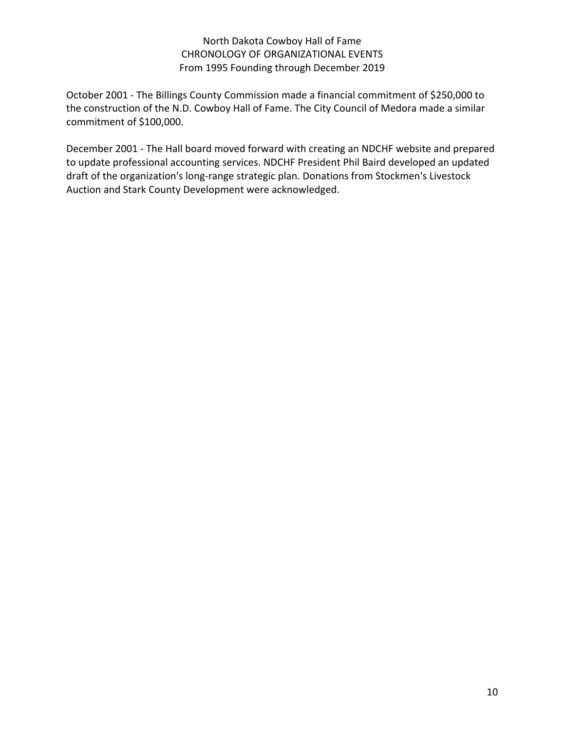October 2001 - The Billings County Commission made a financial commitment of \$250,000 to the construction of the N.D. Cowboy Hall of Fame. The City Council of Medora made a similar commitment of \$100,000.

December 2001 - The Hall board moved forward with creating an NDCHF website and prepared to update professional accounting services. NDCHF President Phil Baird developed an updated draft of the organization's long-range strategic plan. Donations from Stockmen's Livestock Auction and Stark County Development were acknowledged.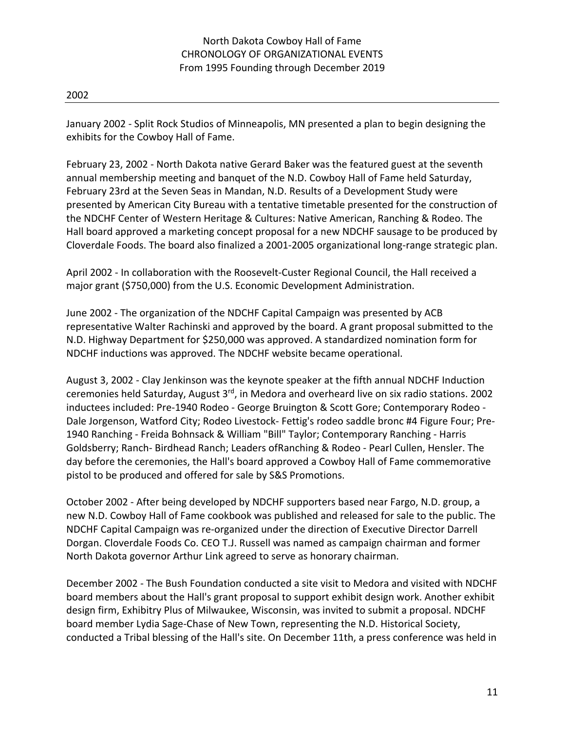January 2002 - Split Rock Studios of Minneapolis, MN presented a plan to begin designing the exhibits for the Cowboy Hall of Fame.

February 23, 2002 - North Dakota native Gerard Baker was the featured guest at the seventh annual membership meeting and banquet of the N.D. Cowboy Hall of Fame held Saturday, February 23rd at the Seven Seas in Mandan, N.D. Results of a Development Study were presented by American City Bureau with a tentative timetable presented for the construction of the NDCHF Center of Western Heritage & Cultures: Native American, Ranching & Rodeo. The Hall board approved a marketing concept proposal for a new NDCHF sausage to be produced by Cloverdale Foods. The board also finalized a 2001-2005 organizational long-range strategic plan.

April 2002 - In collaboration with the Roosevelt-Custer Regional Council, the Hall received a major grant (\$750,000) from the U.S. Economic Development Administration.

June 2002 - The organization of the NDCHF Capital Campaign was presented by ACB representative Walter Rachinski and approved by the board. A grant proposal submitted to the N.D. Highway Department for \$250,000 was approved. A standardized nomination form for NDCHF inductions was approved. The NDCHF website became operational.

August 3, 2002 - Clay Jenkinson was the keynote speaker at the fifth annual NDCHF Induction ceremonies held Saturday, August 3<sup>rd</sup>, in Medora and overheard live on six radio stations. 2002 inductees included: Pre-1940 Rodeo - George Bruington & Scott Gore; Contemporary Rodeo - Dale Jorgenson, Watford City; Rodeo Livestock- Fettig's rodeo saddle bronc #4 Figure Four; Pre-1940 Ranching - Freida Bohnsack & William "Bill" Taylor; Contemporary Ranching - Harris Goldsberry; Ranch- Birdhead Ranch; Leaders ofRanching & Rodeo - Pearl Cullen, Hensler. The day before the ceremonies, the Hall's board approved a Cowboy Hall of Fame commemorative pistol to be produced and offered for sale by S&S Promotions.

October 2002 - After being developed by NDCHF supporters based near Fargo, N.D. group, a new N.D. Cowboy Hall of Fame cookbook was published and released for sale to the public. The NDCHF Capital Campaign was re-organized under the direction of Executive Director Darrell Dorgan. Cloverdale Foods Co. CEO T.J. Russell was named as campaign chairman and former North Dakota governor Arthur Link agreed to serve as honorary chairman.

December 2002 - The Bush Foundation conducted a site visit to Medora and visited with NDCHF board members about the Hall's grant proposal to support exhibit design work. Another exhibit design firm, Exhibitry Plus of Milwaukee, Wisconsin, was invited to submit a proposal. NDCHF board member Lydia Sage-Chase of New Town, representing the N.D. Historical Society, conducted a Tribal blessing of the Hall's site. On December 11th, a press conference was held in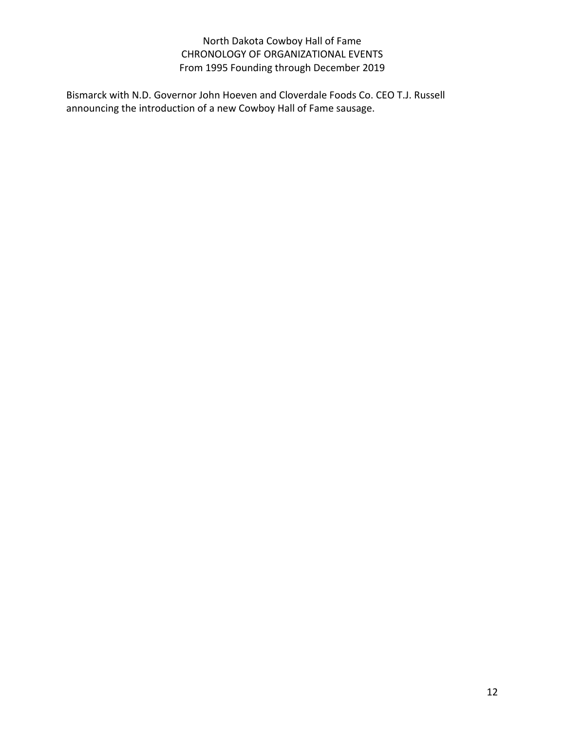Bismarck with N.D. Governor John Hoeven and Cloverdale Foods Co. CEO T.J. Russell announcing the introduction of a new Cowboy Hall of Fame sausage.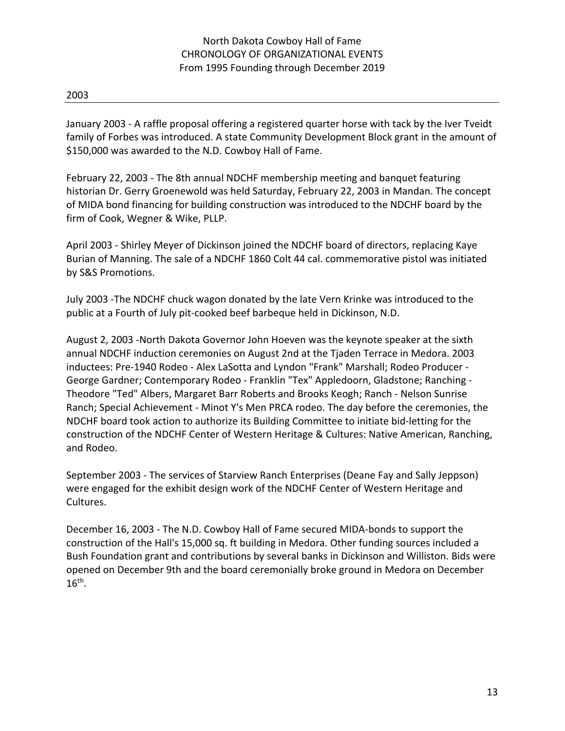January 2003 - A raffle proposal offering a registered quarter horse with tack by the Iver Tveidt family of Forbes was introduced. A state Community Development Block grant in the amount of \$150,000 was awarded to the N.D. Cowboy Hall of Fame.

February 22, 2003 - The 8th annual NDCHF membership meeting and banquet featuring historian Dr. Gerry Groenewold was held Saturday, February 22, 2003 in Mandan. The concept of MIDA bond financing for building construction was introduced to the NDCHF board by the firm of Cook, Wegner & Wike, PLLP.

April 2003 - Shirley Meyer of Dickinson joined the NDCHF board of directors, replacing Kaye Burian of Manning. The sale of a NDCHF 1860 Colt 44 cal. commemorative pistol was initiated by S&S Promotions.

July 2003 -The NDCHF chuck wagon donated by the late Vern Krinke was introduced to the public at a Fourth of July pit-cooked beef barbeque held in Dickinson, N.D.

August 2, 2003 -North Dakota Governor John Hoeven was the keynote speaker at the sixth annual NDCHF induction ceremonies on August 2nd at the Tjaden Terrace in Medora. 2003 inductees: Pre-1940 Rodeo - Alex LaSotta and Lyndon "Frank" Marshall; Rodeo Producer - George Gardner; Contemporary Rodeo - Franklin "Tex" Appledoorn, Gladstone; Ranching - Theodore "Ted" Albers, Margaret Barr Roberts and Brooks Keogh; Ranch - Nelson Sunrise Ranch; Special Achievement - Minot Y's Men PRCA rodeo. The day before the ceremonies, the NDCHF board took action to authorize its Building Committee to initiate bid-letting for the construction of the NDCHF Center of Western Heritage & Cultures: Native American, Ranching, and Rodeo.

September 2003 - The services of Starview Ranch Enterprises (Deane Fay and Sally Jeppson) were engaged for the exhibit design work of the NDCHF Center of Western Heritage and Cultures.

December 16, 2003 - The N.D. Cowboy Hall of Fame secured MIDA-bonds to support the construction of the Hall's 15,000 sq. ft building in Medora. Other funding sources included a Bush Foundation grant and contributions by several banks in Dickinson and Williston. Bids were opened on December 9th and the board ceremonially broke ground in Medora on December  $16<sup>th</sup>$ .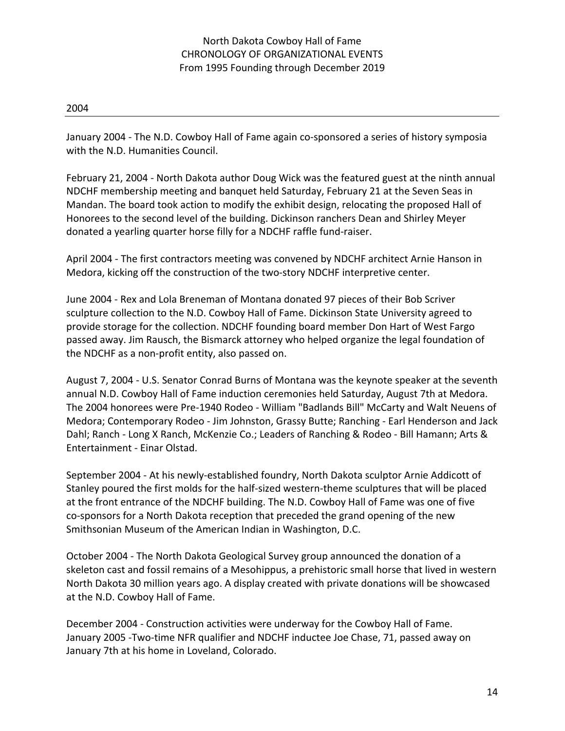January 2004 - The N.D. Cowboy Hall of Fame again co-sponsored a series of history symposia with the N.D. Humanities Council.

February 21, 2004 - North Dakota author Doug Wick was the featured guest at the ninth annual NDCHF membership meeting and banquet held Saturday, February 21 at the Seven Seas in Mandan. The board took action to modify the exhibit design, relocating the proposed Hall of Honorees to the second level of the building. Dickinson ranchers Dean and Shirley Meyer donated a yearling quarter horse filly for a NDCHF raffle fund-raiser.

April 2004 - The first contractors meeting was convened by NDCHF architect Arnie Hanson in Medora, kicking off the construction of the two-story NDCHF interpretive center.

June 2004 - Rex and Lola Breneman of Montana donated 97 pieces of their Bob Scriver sculpture collection to the N.D. Cowboy Hall of Fame. Dickinson State University agreed to provide storage for the collection. NDCHF founding board member Don Hart of West Fargo passed away. Jim Rausch, the Bismarck attorney who helped organize the legal foundation of the NDCHF as a non-profit entity, also passed on.

August 7, 2004 - U.S. Senator Conrad Burns of Montana was the keynote speaker at the seventh annual N.D. Cowboy Hall of Fame induction ceremonies held Saturday, August 7th at Medora. The 2004 honorees were Pre-1940 Rodeo - William "Badlands Bill" McCarty and Walt Neuens of Medora; Contemporary Rodeo - Jim Johnston, Grassy Butte; Ranching - Earl Henderson and Jack Dahl; Ranch - Long X Ranch, McKenzie Co.; Leaders of Ranching & Rodeo - Bill Hamann; Arts & Entertainment - Einar Olstad.

September 2004 - At his newly-established foundry, North Dakota sculptor Arnie Addicott of Stanley poured the first molds for the half-sized western-theme sculptures that will be placed at the front entrance of the NDCHF building. The N.D. Cowboy Hall of Fame was one of five co-sponsors for a North Dakota reception that preceded the grand opening of the new Smithsonian Museum of the American Indian in Washington, D.C.

October 2004 - The North Dakota Geological Survey group announced the donation of a skeleton cast and fossil remains of a Mesohippus, a prehistoric small horse that lived in western North Dakota 30 million years ago. A display created with private donations will be showcased at the N.D. Cowboy Hall of Fame.

December 2004 - Construction activities were underway for the Cowboy Hall of Fame. January 2005 -Two-time NFR qualifier and NDCHF inductee Joe Chase, 71, passed away on January 7th at his home in Loveland, Colorado.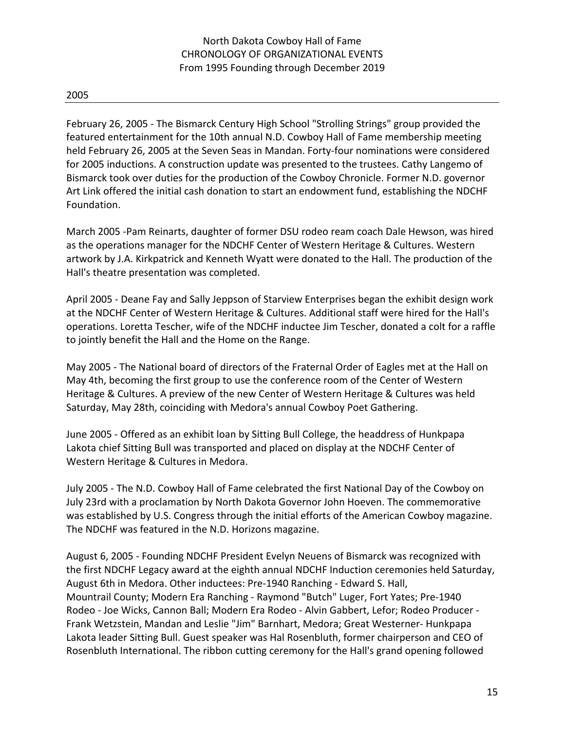### 2005

February 26, 2005 - The Bismarck Century High School "Strolling Strings" group provided the featured entertainment for the 10th annual N.D. Cowboy Hall of Fame membership meeting held February 26, 2005 at the Seven Seas in Mandan. Forty-four nominations were considered for 2005 inductions. A construction update was presented to the trustees. Cathy Langemo of Bismarck took over duties for the production of the Cowboy Chronicle. Former N.D. governor Art Link offered the initial cash donation to start an endowment fund, establishing the NDCHF Foundation.

March 2005 -Pam Reinarts, daughter of former DSU rodeo ream coach Dale Hewson, was hired as the operations manager for the NDCHF Center of Western Heritage & Cultures. Western artwork by J.A. Kirkpatrick and Kenneth Wyatt were donated to the Hall. The production of the Hall's theatre presentation was completed.

April 2005 - Deane Fay and Sally Jeppson of Starview Enterprises began the exhibit design work at the NDCHF Center of Western Heritage & Cultures. Additional staff were hired for the Hall's operations. Loretta Tescher, wife of the NDCHF inductee Jim Tescher, donated a colt for a raffle to jointly benefit the Hall and the Home on the Range.

May 2005 - The National board of directors of the Fraternal Order of Eagles met at the Hall on May 4th, becoming the first group to use the conference room of the Center of Western Heritage & Cultures. A preview of the new Center of Western Heritage & Cultures was held Saturday, May 28th, coinciding with Medora's annual Cowboy Poet Gathering.

June 2005 - Offered as an exhibit loan by Sitting Bull College, the headdress of Hunkpapa Lakota chief Sitting Bull was transported and placed on display at the NDCHF Center of Western Heritage & Cultures in Medora.

July 2005 - The N.D. Cowboy Hall of Fame celebrated the first National Day of the Cowboy on July 23rd with a proclamation by North Dakota Governor John Hoeven. The commemorative was established by U.S. Congress through the initial efforts of the American Cowboy magazine. The NDCHF was featured in the N.D. Horizons magazine.

August 6, 2005 - Founding NDCHF President Evelyn Neuens of Bismarck was recognized with the first NDCHF Legacy award at the eighth annual NDCHF Induction ceremonies held Saturday, August 6th in Medora. Other inductees: Pre-1940 Ranching - Edward S. Hall, Mountrail County; Modern Era Ranching - Raymond "Butch" Luger, Fort Yates; Pre-1940 Rodeo - Joe Wicks, Cannon Ball; Modern Era Rodeo - Alvin Gabbert, Lefor; Rodeo Producer - Frank Wetzstein, Mandan and Leslie "Jim" Barnhart, Medora; Great Westerner- Hunkpapa Lakota leader Sitting Bull. Guest speaker was Hal Rosenbluth, former chairperson and CEO of Rosenbluth International. The ribbon cutting ceremony for the Hall's grand opening followed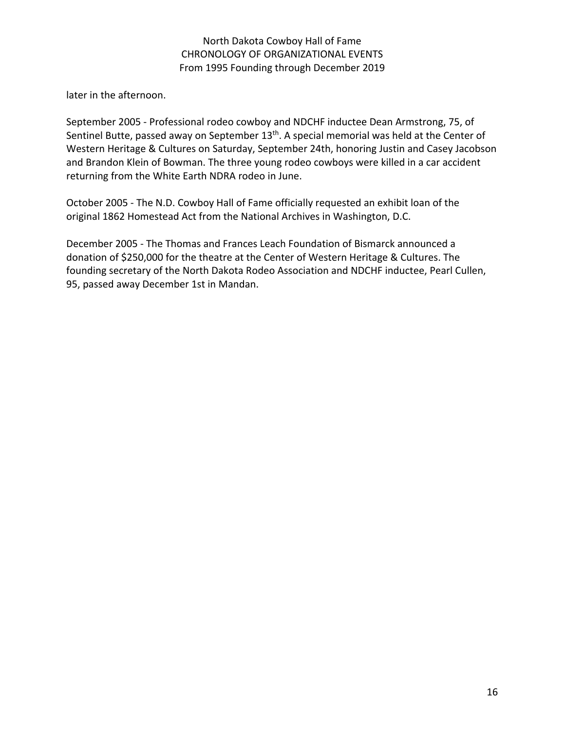later in the afternoon.

September 2005 - Professional rodeo cowboy and NDCHF inductee Dean Armstrong, 75, of Sentinel Butte, passed away on September 13<sup>th</sup>. A special memorial was held at the Center of Western Heritage & Cultures on Saturday, September 24th, honoring Justin and Casey Jacobson and Brandon Klein of Bowman. The three young rodeo cowboys were killed in a car accident returning from the White Earth NDRA rodeo in June.

October 2005 - The N.D. Cowboy Hall of Fame officially requested an exhibit loan of the original 1862 Homestead Act from the National Archives in Washington, D.C.

December 2005 - The Thomas and Frances Leach Foundation of Bismarck announced a donation of \$250,000 for the theatre at the Center of Western Heritage & Cultures. The founding secretary of the North Dakota Rodeo Association and NDCHF inductee, Pearl Cullen, 95, passed away December 1st in Mandan.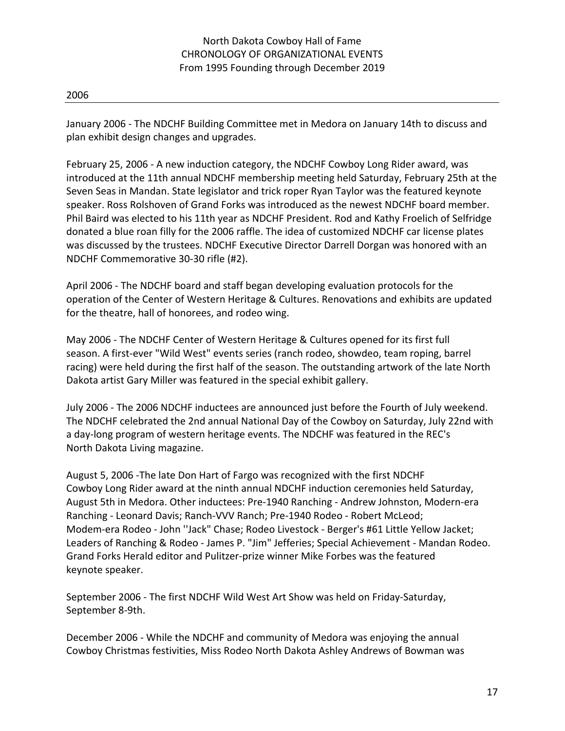January 2006 - The NDCHF Building Committee met in Medora on January 14th to discuss and plan exhibit design changes and upgrades.

February 25, 2006 - A new induction category, the NDCHF Cowboy Long Rider award, was introduced at the 11th annual NDCHF membership meeting held Saturday, February 25th at the Seven Seas in Mandan. State legislator and trick roper Ryan Taylor was the featured keynote speaker. Ross Rolshoven of Grand Forks was introduced as the newest NDCHF board member. Phil Baird was elected to his 11th year as NDCHF President. Rod and Kathy Froelich of Selfridge donated a blue roan filly for the 2006 raffle. The idea of customized NDCHF car license plates was discussed by the trustees. NDCHF Executive Director Darrell Dorgan was honored with an NDCHF Commemorative 30-30 rifle (#2).

April 2006 - The NDCHF board and staff began developing evaluation protocols for the operation of the Center of Western Heritage & Cultures. Renovations and exhibits are updated for the theatre, hall of honorees, and rodeo wing.

May 2006 - The NDCHF Center of Western Heritage & Cultures opened for its first full season. A first-ever "Wild West" events series (ranch rodeo, showdeo, team roping, barrel racing) were held during the first half of the season. The outstanding artwork of the late North Dakota artist Gary Miller was featured in the special exhibit gallery.

July 2006 - The 2006 NDCHF inductees are announced just before the Fourth of July weekend. The NDCHF celebrated the 2nd annual National Day of the Cowboy on Saturday, July 22nd with a day-long program of western heritage events. The NDCHF was featured in the REC's North Dakota Living magazine.

August 5, 2006 -The late Don Hart of Fargo was recognized with the first NDCHF Cowboy Long Rider award at the ninth annual NDCHF induction ceremonies held Saturday, August 5th in Medora. Other inductees: Pre-1940 Ranching - Andrew Johnston, Modern-era Ranching - Leonard Davis; Ranch-VVV Ranch; Pre-1940 Rodeo - Robert McLeod; Modem-era Rodeo - John ''Jack" Chase; Rodeo Livestock - Berger's #61 Little Yellow Jacket; Leaders of Ranching & Rodeo - James P. "Jim" Jefferies; Special Achievement - Mandan Rodeo. Grand Forks Herald editor and Pulitzer-prize winner Mike Forbes was the featured keynote speaker.

September 2006 - The first NDCHF Wild West Art Show was held on Friday-Saturday, September 8-9th.

December 2006 - While the NDCHF and community of Medora was enjoying the annual Cowboy Christmas festivities, Miss Rodeo North Dakota Ashley Andrews of Bowman was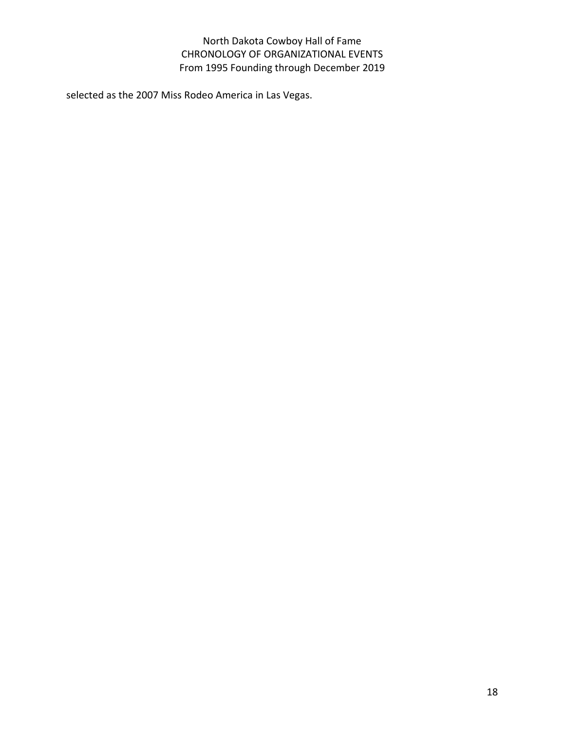selected as the 2007 Miss Rodeo America in Las Vegas.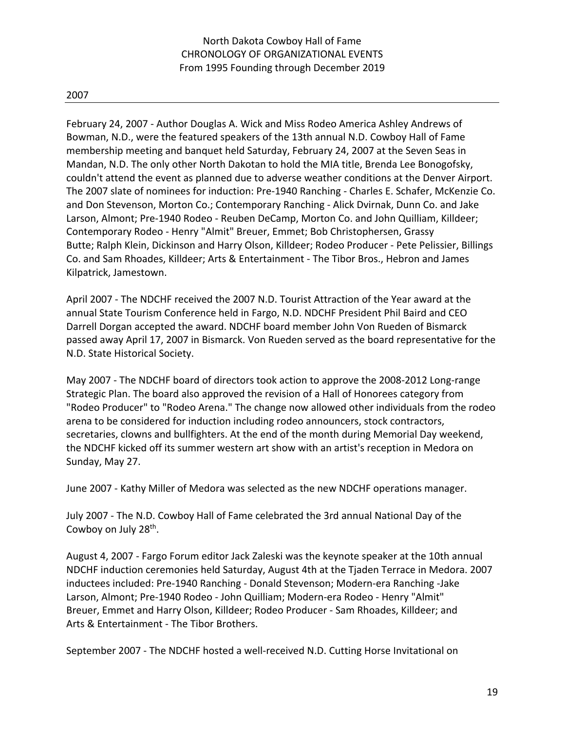February 24, 2007 - Author Douglas A. Wick and Miss Rodeo America Ashley Andrews of Bowman, N.D., were the featured speakers of the 13th annual N.D. Cowboy Hall of Fame membership meeting and banquet held Saturday, February 24, 2007 at the Seven Seas in Mandan, N.D. The only other North Dakotan to hold the MIA title, Brenda Lee Bonogofsky, couldn't attend the event as planned due to adverse weather conditions at the Denver Airport. The 2007 slate of nominees for induction: Pre-1940 Ranching - Charles E. Schafer, McKenzie Co. and Don Stevenson, Morton Co.; Contemporary Ranching - Alick Dvirnak, Dunn Co. and Jake Larson, Almont; Pre-1940 Rodeo - Reuben DeCamp, Morton Co. and John Quilliam, Killdeer; Contemporary Rodeo - Henry "Almit" Breuer, Emmet; Bob Christophersen, Grassy Butte; Ralph Klein, Dickinson and Harry Olson, Killdeer; Rodeo Producer - Pete Pelissier, Billings Co. and Sam Rhoades, Killdeer; Arts & Entertainment - The Tibor Bros., Hebron and James Kilpatrick, Jamestown.

April 2007 - The NDCHF received the 2007 N.D. Tourist Attraction of the Year award at the annual State Tourism Conference held in Fargo, N.D. NDCHF President Phil Baird and CEO Darrell Dorgan accepted the award. NDCHF board member John Von Rueden of Bismarck passed away April 17, 2007 in Bismarck. Von Rueden served as the board representative for the N.D. State Historical Society.

May 2007 - The NDCHF board of directors took action to approve the 2008-2012 Long-range Strategic Plan. The board also approved the revision of a Hall of Honorees category from "Rodeo Producer" to "Rodeo Arena." The change now allowed other individuals from the rodeo arena to be considered for induction including rodeo announcers, stock contractors, secretaries, clowns and bullfighters. At the end of the month during Memorial Day weekend, the NDCHF kicked off its summer western art show with an artist's reception in Medora on Sunday, May 27.

June 2007 - Kathy Miller of Medora was selected as the new NDCHF operations manager.

July 2007 - The N.D. Cowboy Hall of Fame celebrated the 3rd annual National Day of the Cowboy on July 28th.

August 4, 2007 - Fargo Forum editor Jack Zaleski was the keynote speaker at the 10th annual NDCHF induction ceremonies held Saturday, August 4th at the Tjaden Terrace in Medora. 2007 inductees included: Pre-1940 Ranching - Donald Stevenson; Modern-era Ranching -Jake Larson, Almont; Pre-1940 Rodeo - John Quilliam; Modern-era Rodeo - Henry "Almit" Breuer, Emmet and Harry Olson, Killdeer; Rodeo Producer - Sam Rhoades, Killdeer; and Arts & Entertainment - The Tibor Brothers.

September 2007 - The NDCHF hosted a well-received N.D. Cutting Horse Invitational on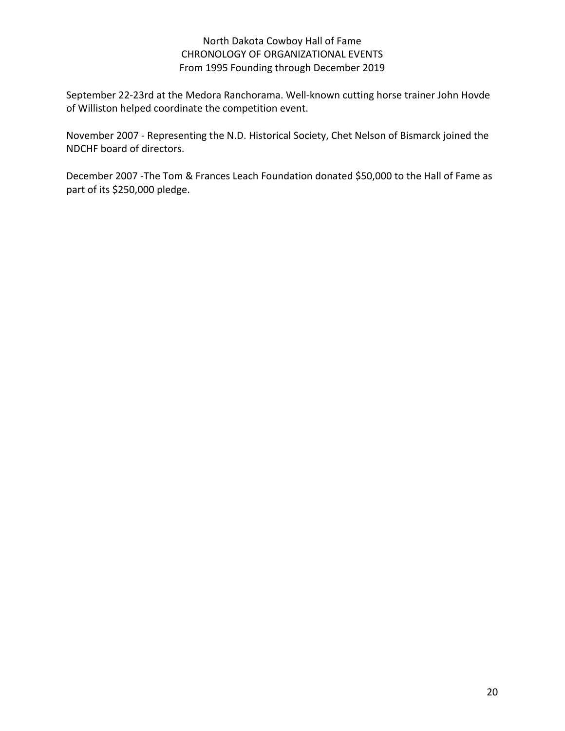September 22-23rd at the Medora Ranchorama. Well-known cutting horse trainer John Hovde of Williston helped coordinate the competition event.

November 2007 - Representing the N.D. Historical Society, Chet Nelson of Bismarck joined the NDCHF board of directors.

December 2007 -The Tom & Frances Leach Foundation donated \$50,000 to the Hall of Fame as part of its \$250,000 pledge.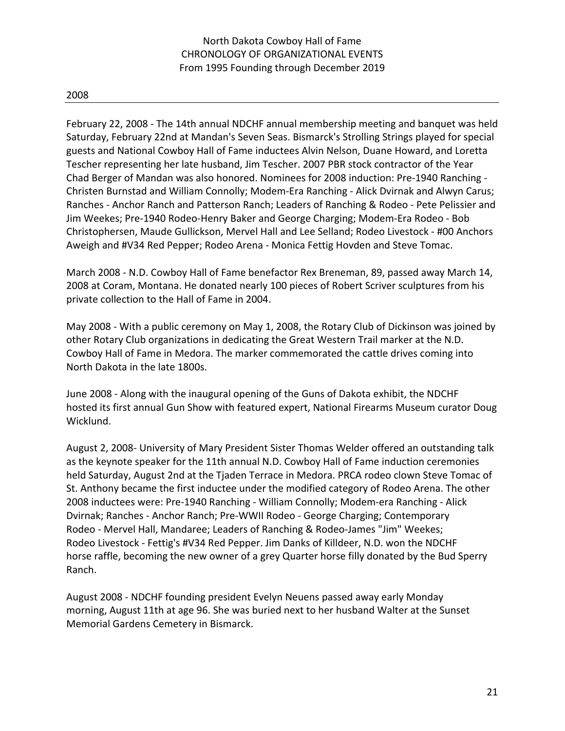#### 2008

February 22, 2008 - The 14th annual NDCHF annual membership meeting and banquet was held Saturday, February 22nd at Mandan's Seven Seas. Bismarck's Strolling Strings played for special guests and National Cowboy Hall of Fame inductees Alvin Nelson, Duane Howard, and Loretta Tescher representing her late husband, Jim Tescher. 2007 PBR stock contractor of the Year Chad Berger of Mandan was also honored. Nominees for 2008 induction: Pre-1940 Ranching - Christen Burnstad and William Connolly; Modem-Era Ranching - Alick Dvirnak and Alwyn Carus; Ranches - Anchor Ranch and Patterson Ranch; Leaders of Ranching & Rodeo - Pete Pelissier and Jim Weekes; Pre-1940 Rodeo-Henry Baker and George Charging; Modem-Era Rodeo - Bob Christophersen, Maude Gullickson, Mervel Hall and Lee Selland; Rodeo Livestock - #00 Anchors Aweigh and #V34 Red Pepper; Rodeo Arena - Monica Fettig Hovden and Steve Tomac.

March 2008 - N.D. Cowboy Hall of Fame benefactor Rex Breneman, 89, passed away March 14, 2008 at Coram, Montana. He donated nearly 100 pieces of Robert Scriver sculptures from his private collection to the Hall of Fame in 2004.

May 2008 - With a public ceremony on May 1, 2008, the Rotary Club of Dickinson was joined by other Rotary Club organizations in dedicating the Great Western Trail marker at the N.D. Cowboy Hall of Fame in Medora. The marker commemorated the cattle drives coming into North Dakota in the late 1800s.

June 2008 - Along with the inaugural opening of the Guns of Dakota exhibit, the NDCHF hosted its first annual Gun Show with featured expert, National Firearms Museum curator Doug Wicklund.

August 2, 2008- University of Mary President Sister Thomas Welder offered an outstanding talk as the keynote speaker for the 11th annual N.D. Cowboy Hall of Fame induction ceremonies held Saturday, August 2nd at the Tjaden Terrace in Medora. PRCA rodeo clown Steve Tomac of St. Anthony became the first inductee under the modified category of Rodeo Arena. The other 2008 inductees were: Pre-1940 Ranching - William Connolly; Modem-era Ranching - Alick Dvirnak; Ranches - Anchor Ranch; Pre-WWII Rodeo - George Charging; Contemporary Rodeo - Mervel Hall, Mandaree; Leaders of Ranching & Rodeo-James "Jim" Weekes; Rodeo Livestock - Fettig's #V34 Red Pepper. Jim Danks of Killdeer, N.D. won the NDCHF horse raffle, becoming the new owner of a grey Quarter horse filly donated by the Bud Sperry Ranch.

August 2008 - NDCHF founding president Evelyn Neuens passed away early Monday morning, August 11th at age 96. She was buried next to her husband Walter at the Sunset Memorial Gardens Cemetery in Bismarck.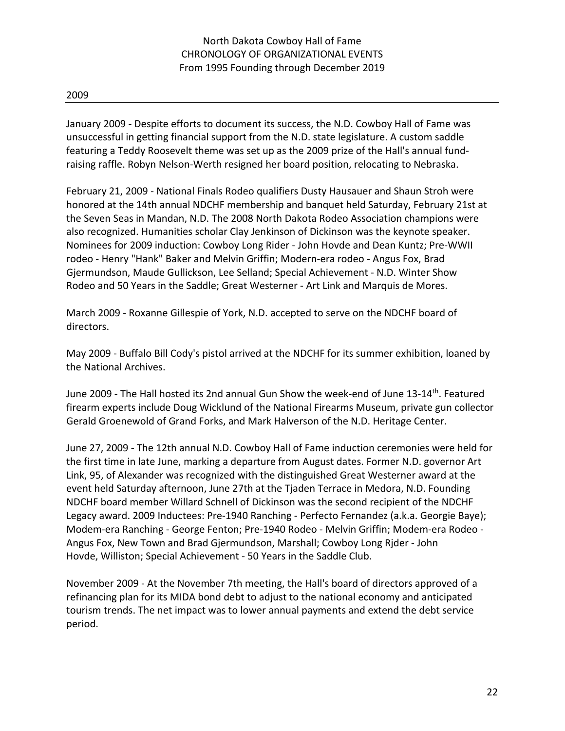January 2009 - Despite efforts to document its success, the N.D. Cowboy Hall of Fame was unsuccessful in getting financial support from the N.D. state legislature. A custom saddle featuring a Teddy Roosevelt theme was set up as the 2009 prize of the Hall's annual fundraising raffle. Robyn Nelson-Werth resigned her board position, relocating to Nebraska.

February 21, 2009 - National Finals Rodeo qualifiers Dusty Hausauer and Shaun Stroh were honored at the 14th annual NDCHF membership and banquet held Saturday, February 21st at the Seven Seas in Mandan, N.D. The 2008 North Dakota Rodeo Association champions were also recognized. Humanities scholar Clay Jenkinson of Dickinson was the keynote speaker. Nominees for 2009 induction: Cowboy Long Rider - John Hovde and Dean Kuntz; Pre-WWII rodeo - Henry "Hank" Baker and Melvin Griffin; Modern-era rodeo - Angus Fox, Brad Gjermundson, Maude Gullickson, Lee Selland; Special Achievement - N.D. Winter Show Rodeo and 50 Years in the Saddle; Great Westerner - Art Link and Marquis de Mores.

March 2009 - Roxanne Gillespie of York, N.D. accepted to serve on the NDCHF board of directors.

May 2009 - Buffalo Bill Cody's pistol arrived at the NDCHF for its summer exhibition, loaned by the National Archives.

June 2009 - The Hall hosted its 2nd annual Gun Show the week-end of June 13-14th. Featured firearm experts include Doug Wicklund of the National Firearms Museum, private gun collector Gerald Groenewold of Grand Forks, and Mark Halverson of the N.D. Heritage Center.

June 27, 2009 - The 12th annual N.D. Cowboy Hall of Fame induction ceremonies were held for the first time in late June, marking a departure from August dates. Former N.D. governor Art Link, 95, of Alexander was recognized with the distinguished Great Westerner award at the event held Saturday afternoon, June 27th at the Tjaden Terrace in Medora, N.D. Founding NDCHF board member Willard Schnell of Dickinson was the second recipient of the NDCHF Legacy award. 2009 Inductees: Pre-1940 Ranching - Perfecto Fernandez (a.k.a. Georgie Baye); Modem-era Ranching - George Fenton; Pre-1940 Rodeo - Melvin Griffin; Modem-era Rodeo - Angus Fox, New Town and Brad Gjermundson, Marshall; Cowboy Long Rjder - John Hovde, Williston; Special Achievement - 50 Years in the Saddle Club.

November 2009 - At the November 7th meeting, the Hall's board of directors approved of a refinancing plan for its MIDA bond debt to adjust to the national economy and anticipated tourism trends. The net impact was to lower annual payments and extend the debt service period.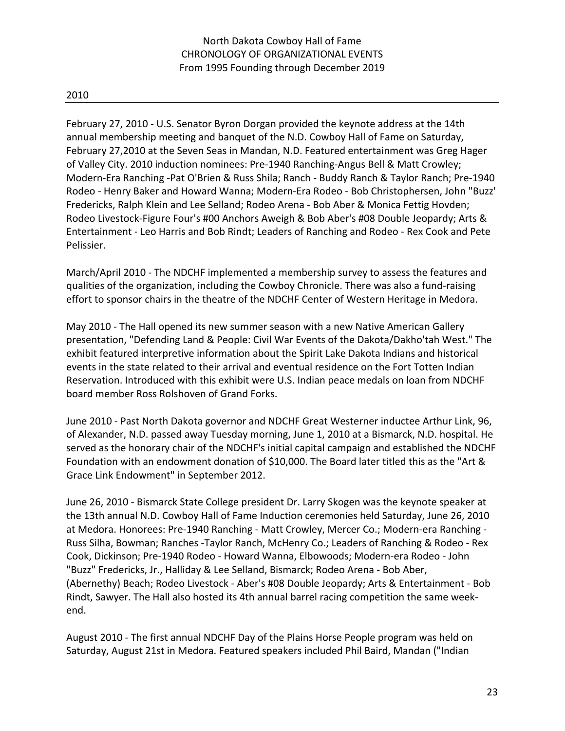February 27, 2010 - U.S. Senator Byron Dorgan provided the keynote address at the 14th annual membership meeting and banquet of the N.D. Cowboy Hall of Fame on Saturday, February 27,2010 at the Seven Seas in Mandan, N.D. Featured entertainment was Greg Hager of Valley City. 2010 induction nominees: Pre-1940 Ranching-Angus Bell & Matt Crowley; Modern-Era Ranching -Pat O'Brien & Russ Shila; Ranch - Buddy Ranch & Taylor Ranch; Pre-1940 Rodeo - Henry Baker and Howard Wanna; Modern-Era Rodeo - Bob Christophersen, John "Buzz' Fredericks, Ralph Klein and Lee Selland; Rodeo Arena - Bob Aber & Monica Fettig Hovden; Rodeo Livestock-Figure Four's #00 Anchors Aweigh & Bob Aber's #08 Double Jeopardy; Arts & Entertainment - Leo Harris and Bob Rindt; Leaders of Ranching and Rodeo - Rex Cook and Pete Pelissier.

March/April 2010 - The NDCHF implemented a membership survey to assess the features and qualities of the organization, including the Cowboy Chronicle. There was also a fund-raising effort to sponsor chairs in the theatre of the NDCHF Center of Western Heritage in Medora.

May 2010 - The Hall opened its new summer season with a new Native American Gallery presentation, "Defending Land & People: Civil War Events of the Dakota/Dakho'tah West." The exhibit featured interpretive information about the Spirit Lake Dakota Indians and historical events in the state related to their arrival and eventual residence on the Fort Totten Indian Reservation. Introduced with this exhibit were U.S. Indian peace medals on loan from NDCHF board member Ross Rolshoven of Grand Forks.

June 2010 - Past North Dakota governor and NDCHF Great Westerner inductee Arthur Link, 96, of Alexander, N.D. passed away Tuesday morning, June 1, 2010 at a Bismarck, N.D. hospital. He served as the honorary chair of the NDCHF's initial capital campaign and established the NDCHF Foundation with an endowment donation of \$10,000. The Board later titled this as the "Art & Grace Link Endowment" in September 2012.

June 26, 2010 - Bismarck State College president Dr. Larry Skogen was the keynote speaker at the 13th annual N.D. Cowboy Hall of Fame Induction ceremonies held Saturday, June 26, 2010 at Medora. Honorees: Pre-1940 Ranching - Matt Crowley, Mercer Co.; Modern-era Ranching - Russ Silha, Bowman; Ranches -Taylor Ranch, McHenry Co.; Leaders of Ranching & Rodeo - Rex Cook, Dickinson; Pre-1940 Rodeo - Howard Wanna, Elbowoods; Modern-era Rodeo - John "Buzz" Fredericks, Jr., Halliday & Lee Selland, Bismarck; Rodeo Arena - Bob Aber, (Abernethy) Beach; Rodeo Livestock - Aber's #08 Double Jeopardy; Arts & Entertainment - Bob Rindt, Sawyer. The Hall also hosted its 4th annual barrel racing competition the same weekend.

August 2010 - The first annual NDCHF Day of the Plains Horse People program was held on Saturday, August 21st in Medora. Featured speakers included Phil Baird, Mandan ("Indian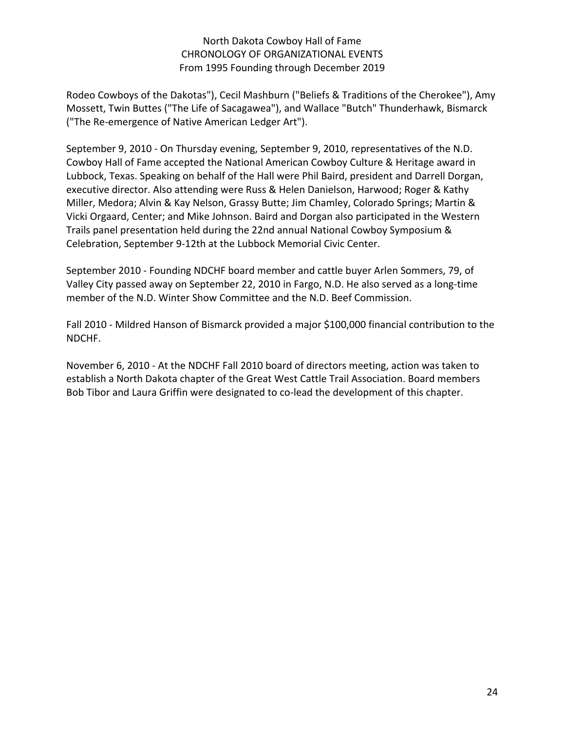Rodeo Cowboys of the Dakotas"), Cecil Mashburn ("Beliefs & Traditions of the Cherokee"), Amy Mossett, Twin Buttes ("The Life of Sacagawea"), and Wallace "Butch" Thunderhawk, Bismarck ("The Re-emergence of Native American Ledger Art").

September 9, 2010 - On Thursday evening, September 9, 2010, representatives of the N.D. Cowboy Hall of Fame accepted the National American Cowboy Culture & Heritage award in Lubbock, Texas. Speaking on behalf of the Hall were Phil Baird, president and Darrell Dorgan, executive director. Also attending were Russ & Helen Danielson, Harwood; Roger & Kathy Miller, Medora; Alvin & Kay Nelson, Grassy Butte; Jim Chamley, Colorado Springs; Martin & Vicki Orgaard, Center; and Mike Johnson. Baird and Dorgan also participated in the Western Trails panel presentation held during the 22nd annual National Cowboy Symposium & Celebration, September 9-12th at the Lubbock Memorial Civic Center.

September 2010 - Founding NDCHF board member and cattle buyer Arlen Sommers, 79, of Valley City passed away on September 22, 2010 in Fargo, N.D. He also served as a long-time member of the N.D. Winter Show Committee and the N.D. Beef Commission.

Fall 2010 - Mildred Hanson of Bismarck provided a major \$100,000 financial contribution to the NDCHF.

November 6, 2010 - At the NDCHF Fall 2010 board of directors meeting, action was taken to establish a North Dakota chapter of the Great West Cattle Trail Association. Board members Bob Tibor and Laura Griffin were designated to co-lead the development of this chapter.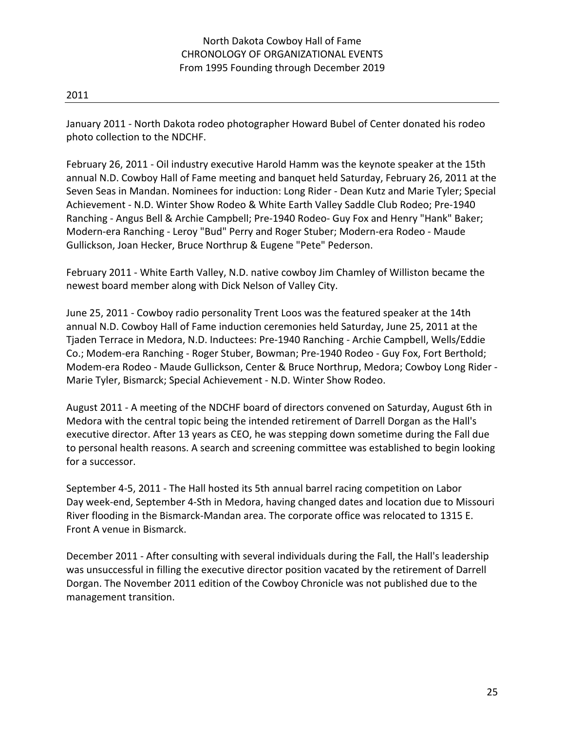January 2011 - North Dakota rodeo photographer Howard Bubel of Center donated his rodeo photo collection to the NDCHF.

February 26, 2011 - Oil industry executive Harold Hamm was the keynote speaker at the 15th annual N.D. Cowboy Hall of Fame meeting and banquet held Saturday, February 26, 2011 at the Seven Seas in Mandan. Nominees for induction: Long Rider - Dean Kutz and Marie Tyler; Special Achievement - N.D. Winter Show Rodeo & White Earth Valley Saddle Club Rodeo; Pre-1940 Ranching - Angus Bell & Archie Campbell; Pre-1940 Rodeo- Guy Fox and Henry "Hank" Baker; Modern-era Ranching - Leroy "Bud" Perry and Roger Stuber; Modern-era Rodeo - Maude Gullickson, Joan Hecker, Bruce Northrup & Eugene "Pete" Pederson.

February 2011 - White Earth Valley, N.D. native cowboy Jim Chamley of Williston became the newest board member along with Dick Nelson of Valley City.

June 25, 2011 - Cowboy radio personality Trent Loos was the featured speaker at the 14th annual N.D. Cowboy Hall of Fame induction ceremonies held Saturday, June 25, 2011 at the Tjaden Terrace in Medora, N.D. Inductees: Pre-1940 Ranching - Archie Campbell, Wells/Eddie Co.; Modem-era Ranching - Roger Stuber, Bowman; Pre-1940 Rodeo - Guy Fox, Fort Berthold; Modem-era Rodeo - Maude Gullickson, Center & Bruce Northrup, Medora; Cowboy Long Rider - Marie Tyler, Bismarck; Special Achievement - N.D. Winter Show Rodeo.

August 2011 - A meeting of the NDCHF board of directors convened on Saturday, August 6th in Medora with the central topic being the intended retirement of Darrell Dorgan as the Hall's executive director. After 13 years as CEO, he was stepping down sometime during the Fall due to personal health reasons. A search and screening committee was established to begin looking for a successor.

September 4-5, 2011 - The Hall hosted its 5th annual barrel racing competition on Labor Day week-end, September 4-Sth in Medora, having changed dates and location due to Missouri River flooding in the Bismarck-Mandan area. The corporate office was relocated to 1315 E. Front A venue in Bismarck.

December 2011 - After consulting with several individuals during the Fall, the Hall's leadership was unsuccessful in filling the executive director position vacated by the retirement of Darrell Dorgan. The November 2011 edition of the Cowboy Chronicle was not published due to the management transition.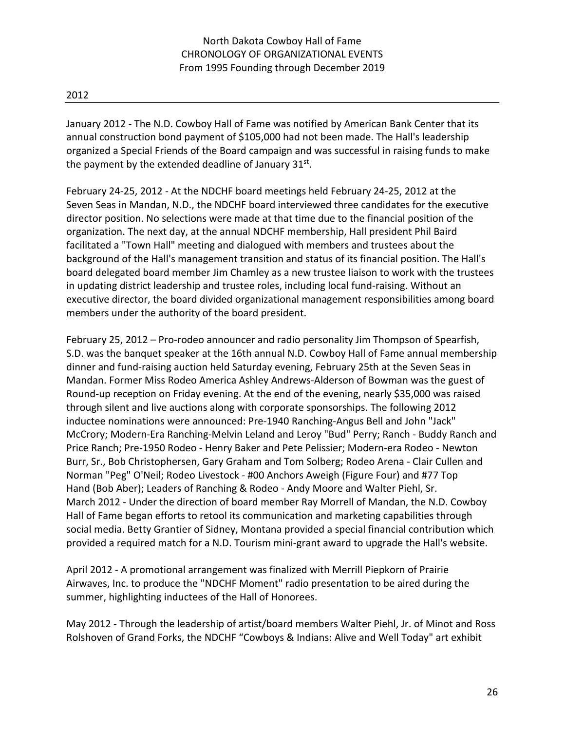January 2012 - The N.D. Cowboy Hall of Fame was notified by American Bank Center that its annual construction bond payment of \$105,000 had not been made. The Hall's leadership organized a Special Friends of the Board campaign and was successful in raising funds to make the payment by the extended deadline of January  $31^{st}$ .

February 24-25, 2012 - At the NDCHF board meetings held February 24-25, 2012 at the Seven Seas in Mandan, N.D., the NDCHF board interviewed three candidates for the executive director position. No selections were made at that time due to the financial position of the organization. The next day, at the annual NDCHF membership, Hall president Phil Baird facilitated a "Town Hall" meeting and dialogued with members and trustees about the background of the Hall's management transition and status of its financial position. The Hall's board delegated board member Jim Chamley as a new trustee liaison to work with the trustees in updating district leadership and trustee roles, including local fund-raising. Without an executive director, the board divided organizational management responsibilities among board members under the authority of the board president.

February 25, 2012 – Pro-rodeo announcer and radio personality Jim Thompson of Spearfish, S.D. was the banquet speaker at the 16th annual N.D. Cowboy Hall of Fame annual membership dinner and fund-raising auction held Saturday evening, February 25th at the Seven Seas in Mandan. Former Miss Rodeo America Ashley Andrews-Alderson of Bowman was the guest of Round-up reception on Friday evening. At the end of the evening, nearly \$35,000 was raised through silent and live auctions along with corporate sponsorships. The following 2012 inductee nominations were announced: Pre-1940 Ranching-Angus Bell and John "Jack" McCrory; Modern-Era Ranching-Melvin Leland and Leroy "Bud" Perry; Ranch - Buddy Ranch and Price Ranch; Pre-1950 Rodeo - Henry Baker and Pete Pelissier; Modern-era Rodeo - Newton Burr, Sr., Bob Christophersen, Gary Graham and Tom Solberg; Rodeo Arena - Clair Cullen and Norman "Peg" O'Neil; Rodeo Livestock - #00 Anchors Aweigh (Figure Four) and #77 Top Hand (Bob Aber); Leaders of Ranching & Rodeo - Andy Moore and Walter Piehl, Sr. March 2012 - Under the direction of board member Ray Morrell of Mandan, the N.D. Cowboy Hall of Fame began efforts to retool its communication and marketing capabilities through social media. Betty Grantier of Sidney, Montana provided a special financial contribution which provided a required match for a N.D. Tourism mini-grant award to upgrade the Hall's website.

April 2012 - A promotional arrangement was finalized with Merrill Piepkorn of Prairie Airwaves, Inc. to produce the "NDCHF Moment" radio presentation to be aired during the summer, highlighting inductees of the Hall of Honorees.

May 2012 - Through the leadership of artist/board members Walter Piehl, Jr. of Minot and Ross Rolshoven of Grand Forks, the NDCHF "Cowboys & Indians: Alive and Well Today" art exhibit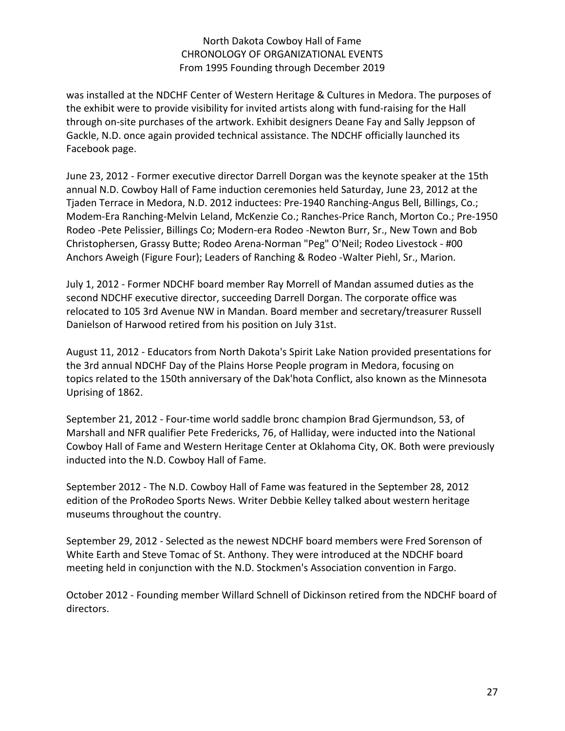was installed at the NDCHF Center of Western Heritage & Cultures in Medora. The purposes of the exhibit were to provide visibility for invited artists along with fund-raising for the Hall through on-site purchases of the artwork. Exhibit designers Deane Fay and Sally Jeppson of Gackle, N.D. once again provided technical assistance. The NDCHF officially launched its Facebook page.

June 23, 2012 - Former executive director Darrell Dorgan was the keynote speaker at the 15th annual N.D. Cowboy Hall of Fame induction ceremonies held Saturday, June 23, 2012 at the Tjaden Terrace in Medora, N.D. 2012 inductees: Pre-1940 Ranching-Angus Bell, Billings, Co.; Modem-Era Ranching-Melvin Leland, McKenzie Co.; Ranches-Price Ranch, Morton Co.; Pre-1950 Rodeo -Pete Pelissier, Billings Co; Modern-era Rodeo -Newton Burr, Sr., New Town and Bob Christophersen, Grassy Butte; Rodeo Arena-Norman "Peg" O'Neil; Rodeo Livestock - #00 Anchors Aweigh (Figure Four); Leaders of Ranching & Rodeo -Walter Piehl, Sr., Marion.

July 1, 2012 - Former NDCHF board member Ray Morrell of Mandan assumed duties as the second NDCHF executive director, succeeding Darrell Dorgan. The corporate office was relocated to 105 3rd Avenue NW in Mandan. Board member and secretary/treasurer Russell Danielson of Harwood retired from his position on July 31st.

August 11, 2012 - Educators from North Dakota's Spirit Lake Nation provided presentations for the 3rd annual NDCHF Day of the Plains Horse People program in Medora, focusing on topics related to the 150th anniversary of the Dak'hota Conflict, also known as the Minnesota Uprising of 1862.

September 21, 2012 - Four-time world saddle bronc champion Brad Gjermundson, 53, of Marshall and NFR qualifier Pete Fredericks, 76, of Halliday, were inducted into the National Cowboy Hall of Fame and Western Heritage Center at Oklahoma City, OK. Both were previously inducted into the N.D. Cowboy Hall of Fame.

September 2012 - The N.D. Cowboy Hall of Fame was featured in the September 28, 2012 edition of the ProRodeo Sports News. Writer Debbie Kelley talked about western heritage museums throughout the country.

September 29, 2012 - Selected as the newest NDCHF board members were Fred Sorenson of White Earth and Steve Tomac of St. Anthony. They were introduced at the NDCHF board meeting held in conjunction with the N.D. Stockmen's Association convention in Fargo.

October 2012 - Founding member Willard Schnell of Dickinson retired from the NDCHF board of directors.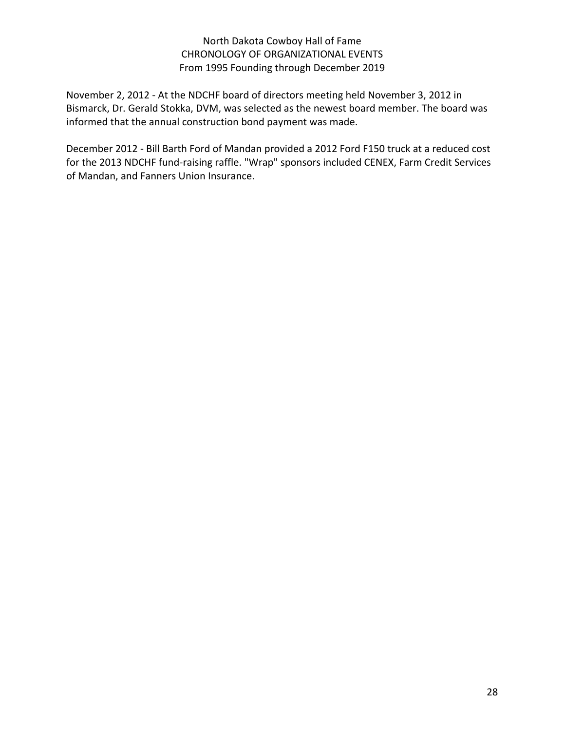November 2, 2012 - At the NDCHF board of directors meeting held November 3, 2012 in Bismarck, Dr. Gerald Stokka, DVM, was selected as the newest board member. The board was informed that the annual construction bond payment was made.

December 2012 - Bill Barth Ford of Mandan provided a 2012 Ford F150 truck at a reduced cost for the 2013 NDCHF fund-raising raffle. "Wrap" sponsors included CENEX, Farm Credit Services of Mandan, and Fanners Union Insurance.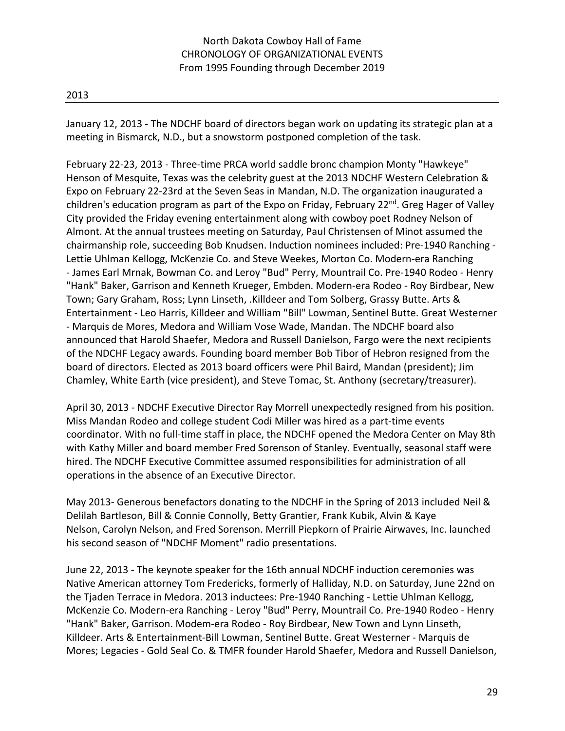January 12, 2013 - The NDCHF board of directors began work on updating its strategic plan at a meeting in Bismarck, N.D., but a snowstorm postponed completion of the task.

February 22-23, 2013 - Three-time PRCA world saddle bronc champion Monty "Hawkeye" Henson of Mesquite, Texas was the celebrity guest at the 2013 NDCHF Western Celebration & Expo on February 22-23rd at the Seven Seas in Mandan, N.D. The organization inaugurated a children's education program as part of the Expo on Friday, February 22<sup>nd</sup>. Greg Hager of Valley City provided the Friday evening entertainment along with cowboy poet Rodney Nelson of Almont. At the annual trustees meeting on Saturday, Paul Christensen of Minot assumed the chairmanship role, succeeding Bob Knudsen. Induction nominees included: Pre-1940 Ranching - Lettie Uhlman Kellogg, McKenzie Co. and Steve Weekes, Morton Co. Modern-era Ranching - James Earl Mrnak, Bowman Co. and Leroy "Bud" Perry, Mountrail Co. Pre-1940 Rodeo - Henry "Hank" Baker, Garrison and Kenneth Krueger, Embden. Modern-era Rodeo - Roy Birdbear, New Town; Gary Graham, Ross; Lynn Linseth, .Killdeer and Tom Solberg, Grassy Butte. Arts & Entertainment - Leo Harris, Killdeer and William "Bill" Lowman, Sentinel Butte. Great Westerner - Marquis de Mores, Medora and William Vose Wade, Mandan. The NDCHF board also announced that Harold Shaefer, Medora and Russell Danielson, Fargo were the next recipients of the NDCHF Legacy awards. Founding board member Bob Tibor of Hebron resigned from the board of directors. Elected as 2013 board officers were Phil Baird, Mandan (president); Jim Chamley, White Earth (vice president), and Steve Tomac, St. Anthony (secretary/treasurer).

April 30, 2013 - NDCHF Executive Director Ray Morrell unexpectedly resigned from his position. Miss Mandan Rodeo and college student Codi Miller was hired as a part-time events coordinator. With no full-time staff in place, the NDCHF opened the Medora Center on May 8th with Kathy Miller and board member Fred Sorenson of Stanley. Eventually, seasonal staff were hired. The NDCHF Executive Committee assumed responsibilities for administration of all operations in the absence of an Executive Director.

May 2013- Generous benefactors donating to the NDCHF in the Spring of 2013 included Neil & Delilah Bartleson, Bill & Connie Connolly, Betty Grantier, Frank Kubik, Alvin & Kaye Nelson, Carolyn Nelson, and Fred Sorenson. Merrill Piepkorn of Prairie Airwaves, Inc. launched his second season of "NDCHF Moment" radio presentations.

June 22, 2013 - The keynote speaker for the 16th annual NDCHF induction ceremonies was Native American attorney Tom Fredericks, formerly of Halliday, N.D. on Saturday, June 22nd on the Tjaden Terrace in Medora. 2013 inductees: Pre-1940 Ranching - Lettie Uhlman Kellogg, McKenzie Co. Modern-era Ranching - Leroy "Bud" Perry, Mountrail Co. Pre-1940 Rodeo - Henry "Hank" Baker, Garrison. Modem-era Rodeo - Roy Birdbear, New Town and Lynn Linseth, Killdeer. Arts & Entertainment-Bill Lowman, Sentinel Butte. Great Westerner - Marquis de Mores; Legacies - Gold Seal Co. & TMFR founder Harold Shaefer, Medora and Russell Danielson,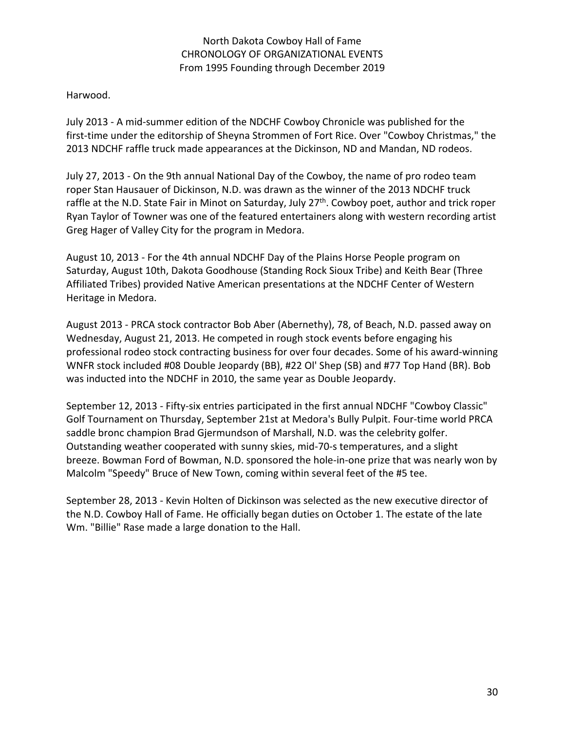### Harwood.

July 2013 - A mid-summer edition of the NDCHF Cowboy Chronicle was published for the first-time under the editorship of Sheyna Strommen of Fort Rice. Over "Cowboy Christmas," the 2013 NDCHF raffle truck made appearances at the Dickinson, ND and Mandan, ND rodeos.

July 27, 2013 - On the 9th annual National Day of the Cowboy, the name of pro rodeo team roper Stan Hausauer of Dickinson, N.D. was drawn as the winner of the 2013 NDCHF truck raffle at the N.D. State Fair in Minot on Saturday, July 27<sup>th</sup>. Cowboy poet, author and trick roper Ryan Taylor of Towner was one of the featured entertainers along with western recording artist Greg Hager of Valley City for the program in Medora.

August 10, 2013 - For the 4th annual NDCHF Day of the Plains Horse People program on Saturday, August 10th, Dakota Goodhouse (Standing Rock Sioux Tribe) and Keith Bear (Three Affiliated Tribes) provided Native American presentations at the NDCHF Center of Western Heritage in Medora.

August 2013 - PRCA stock contractor Bob Aber (Abernethy), 78, of Beach, N.D. passed away on Wednesday, August 21, 2013. He competed in rough stock events before engaging his professional rodeo stock contracting business for over four decades. Some of his award-winning WNFR stock included #08 Double Jeopardy (BB), #22 Ol' Shep (SB) and #77 Top Hand (BR). Bob was inducted into the NDCHF in 2010, the same year as Double Jeopardy.

September 12, 2013 - Fifty-six entries participated in the first annual NDCHF "Cowboy Classic" Golf Tournament on Thursday, September 21st at Medora's Bully Pulpit. Four-time world PRCA saddle bronc champion Brad Gjermundson of Marshall, N.D. was the celebrity golfer. Outstanding weather cooperated with sunny skies, mid-70-s temperatures, and a slight breeze. Bowman Ford of Bowman, N.D. sponsored the hole-in-one prize that was nearly won by Malcolm "Speedy" Bruce of New Town, coming within several feet of the #5 tee.

September 28, 2013 - Kevin Holten of Dickinson was selected as the new executive director of the N.D. Cowboy Hall of Fame. He officially began duties on October 1. The estate of the late Wm. "Billie" Rase made a large donation to the Hall.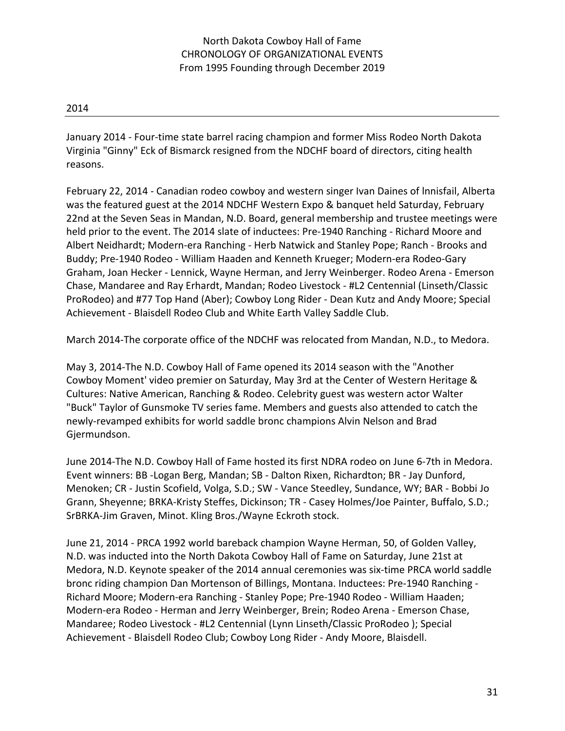January 2014 - Four-time state barrel racing champion and former Miss Rodeo North Dakota Virginia "Ginny" Eck of Bismarck resigned from the NDCHF board of directors, citing health reasons.

February 22, 2014 - Canadian rodeo cowboy and western singer Ivan Daines of lnnisfail, Alberta was the featured guest at the 2014 NDCHF Western Expo & banquet held Saturday, February 22nd at the Seven Seas in Mandan, N.D. Board, general membership and trustee meetings were held prior to the event. The 2014 slate of inductees: Pre-1940 Ranching - Richard Moore and Albert Neidhardt; Modern-era Ranching - Herb Natwick and Stanley Pope; Ranch - Brooks and Buddy; Pre-1940 Rodeo - William Haaden and Kenneth Krueger; Modern-era Rodeo-Gary Graham, Joan Hecker - Lennick, Wayne Herman, and Jerry Weinberger. Rodeo Arena - Emerson Chase, Mandaree and Ray Erhardt, Mandan; Rodeo Livestock - #L2 Centennial (Linseth/Classic ProRodeo) and #77 Top Hand (Aber); Cowboy Long Rider - Dean Kutz and Andy Moore; Special Achievement - Blaisdell Rodeo Club and White Earth Valley Saddle Club.

March 2014-The corporate office of the NDCHF was relocated from Mandan, N.D., to Medora.

May 3, 2014-The N.D. Cowboy Hall of Fame opened its 2014 season with the "Another Cowboy Moment' video premier on Saturday, May 3rd at the Center of Western Heritage & Cultures: Native American, Ranching & Rodeo. Celebrity guest was western actor Walter "Buck" Taylor of Gunsmoke TV series fame. Members and guests also attended to catch the newly-revamped exhibits for world saddle bronc champions Alvin Nelson and Brad Gjermundson.

June 2014-The N.D. Cowboy Hall of Fame hosted its first NDRA rodeo on June 6-7th in Medora. Event winners: BB -Logan Berg, Mandan; SB - Dalton Rixen, Richardton; BR - Jay Dunford, Menoken; CR - Justin Scofield, Volga, S.D.; SW - Vance Steedley, Sundance, WY; BAR - Bobbi Jo Grann, Sheyenne; BRKA-Kristy Steffes, Dickinson; TR - Casey Holmes/Joe Painter, Buffalo, S.D.; SrBRKA-Jim Graven, Minot. Kling Bros./Wayne Eckroth stock.

June 21, 2014 - PRCA 1992 world bareback champion Wayne Herman, 50, of Golden Valley, N.D. was inducted into the North Dakota Cowboy Hall of Fame on Saturday, June 21st at Medora, N.D. Keynote speaker of the 2014 annual ceremonies was six-time PRCA world saddle bronc riding champion Dan Mortenson of Billings, Montana. Inductees: Pre-1940 Ranching - Richard Moore; Modern-era Ranching - Stanley Pope; Pre-1940 Rodeo - William Haaden; Modern-era Rodeo - Herman and Jerry Weinberger, Brein; Rodeo Arena - Emerson Chase, Mandaree; Rodeo Livestock - #L2 Centennial (Lynn Linseth/Classic ProRodeo ); Special Achievement - Blaisdell Rodeo Club; Cowboy Long Rider - Andy Moore, Blaisdell.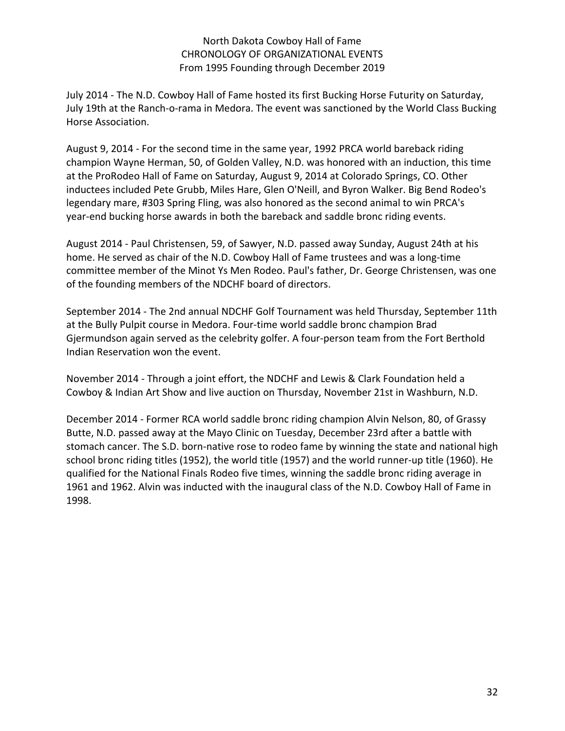July 2014 - The N.D. Cowboy Hall of Fame hosted its first Bucking Horse Futurity on Saturday, July 19th at the Ranch-o-rama in Medora. The event was sanctioned by the World Class Bucking Horse Association.

August 9, 2014 - For the second time in the same year, 1992 PRCA world bareback riding champion Wayne Herman, 50, of Golden Valley, N.D. was honored with an induction, this time at the ProRodeo Hall of Fame on Saturday, August 9, 2014 at Colorado Springs, CO. Other inductees included Pete Grubb, Miles Hare, Glen O'Neill, and Byron Walker. Big Bend Rodeo's legendary mare, #303 Spring Fling, was also honored as the second animal to win PRCA's year-end bucking horse awards in both the bareback and saddle bronc riding events.

August 2014 - Paul Christensen, 59, of Sawyer, N.D. passed away Sunday, August 24th at his home. He served as chair of the N.D. Cowboy Hall of Fame trustees and was a long-time committee member of the Minot Ys Men Rodeo. Paul's father, Dr. George Christensen, was one of the founding members of the NDCHF board of directors.

September 2014 - The 2nd annual NDCHF Golf Tournament was held Thursday, September 11th at the Bully Pulpit course in Medora. Four-time world saddle bronc champion Brad Gjermundson again served as the celebrity golfer. A four-person team from the Fort Berthold Indian Reservation won the event.

November 2014 - Through a joint effort, the NDCHF and Lewis & Clark Foundation held a Cowboy & Indian Art Show and live auction on Thursday, November 21st in Washburn, N.D.

December 2014 - Former RCA world saddle bronc riding champion Alvin Nelson, 80, of Grassy Butte, N.D. passed away at the Mayo Clinic on Tuesday, December 23rd after a battle with stomach cancer. The S.D. born-native rose to rodeo fame by winning the state and national high school bronc riding titles (1952), the world title (1957) and the world runner-up title (1960). He qualified for the National Finals Rodeo five times, winning the saddle bronc riding average in 1961 and 1962. Alvin was inducted with the inaugural class of the N.D. Cowboy Hall of Fame in 1998.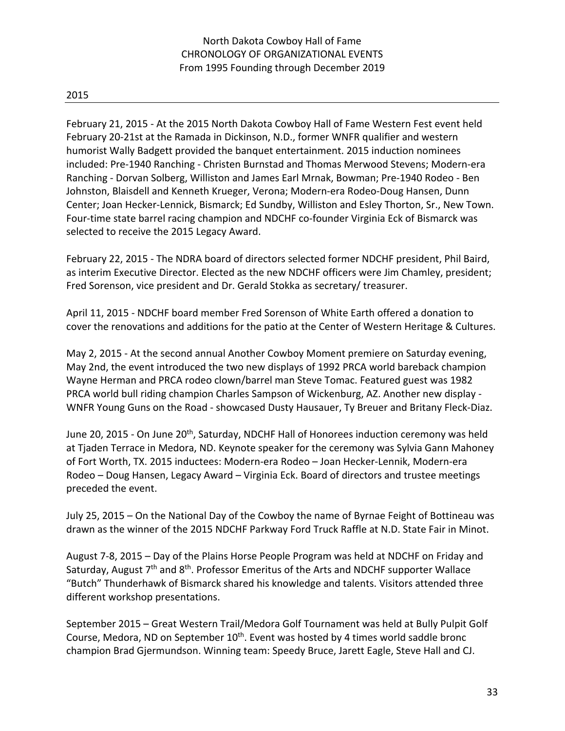February 21, 2015 - At the 2015 North Dakota Cowboy Hall of Fame Western Fest event held February 20-21st at the Ramada in Dickinson, N.D., former WNFR qualifier and western humorist Wally Badgett provided the banquet entertainment. 2015 induction nominees included: Pre-1940 Ranching - Christen Burnstad and Thomas Merwood Stevens; Modern-era Ranching - Dorvan Solberg, Williston and James Earl Mrnak, Bowman; Pre-1940 Rodeo - Ben Johnston, Blaisdell and Kenneth Krueger, Verona; Modern-era Rodeo-Doug Hansen, Dunn Center; Joan Hecker-Lennick, Bismarck; Ed Sundby, Williston and Esley Thorton, Sr., New Town. Four-time state barrel racing champion and NDCHF co-founder Virginia Eck of Bismarck was selected to receive the 2015 Legacy Award.

February 22, 2015 - The NDRA board of directors selected former NDCHF president, Phil Baird, as interim Executive Director. Elected as the new NDCHF officers were Jim Chamley, president; Fred Sorenson, vice president and Dr. Gerald Stokka as secretary/ treasurer.

April 11, 2015 - NDCHF board member Fred Sorenson of White Earth offered a donation to cover the renovations and additions for the patio at the Center of Western Heritage & Cultures.

May 2, 2015 - At the second annual Another Cowboy Moment premiere on Saturday evening, May 2nd, the event introduced the two new displays of 1992 PRCA world bareback champion Wayne Herman and PRCA rodeo clown/barrel man Steve Tomac. Featured guest was 1982 PRCA world bull riding champion Charles Sampson of Wickenburg, AZ. Another new display - WNFR Young Guns on the Road - showcased Dusty Hausauer, Ty Breuer and Britany Fleck-Diaz.

June 20, 2015 - On June 20<sup>th</sup>, Saturday, NDCHF Hall of Honorees induction ceremony was held at Tjaden Terrace in Medora, ND. Keynote speaker for the ceremony was Sylvia Gann Mahoney of Fort Worth, TX. 2015 inductees: Modern-era Rodeo – Joan Hecker-Lennik, Modern-era Rodeo – Doug Hansen, Legacy Award – Virginia Eck. Board of directors and trustee meetings preceded the event.

July 25, 2015 – On the National Day of the Cowboy the name of Byrnae Feight of Bottineau was drawn as the winner of the 2015 NDCHF Parkway Ford Truck Raffle at N.D. State Fair in Minot.

August 7-8, 2015 – Day of the Plains Horse People Program was held at NDCHF on Friday and Saturday, August  $7<sup>th</sup>$  and  $8<sup>th</sup>$ . Professor Emeritus of the Arts and NDCHF supporter Wallace "Butch" Thunderhawk of Bismarck shared his knowledge and talents. Visitors attended three different workshop presentations.

September 2015 – Great Western Trail/Medora Golf Tournament was held at Bully Pulpit Golf Course, Medora, ND on September  $10<sup>th</sup>$ . Event was hosted by 4 times world saddle bronc champion Brad Gjermundson. Winning team: Speedy Bruce, Jarett Eagle, Steve Hall and CJ.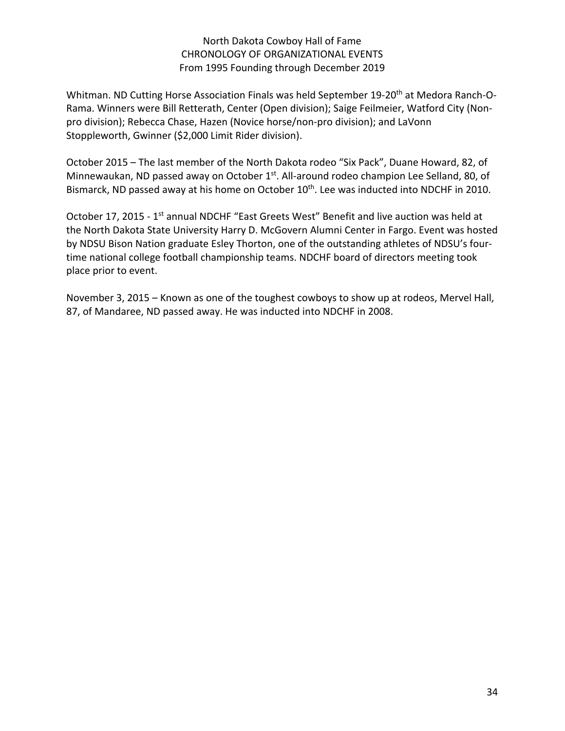Whitman. ND Cutting Horse Association Finals was held September 19-20<sup>th</sup> at Medora Ranch-O-Rama. Winners were Bill Retterath, Center (Open division); Saige Feilmeier, Watford City (Nonpro division); Rebecca Chase, Hazen (Novice horse/non-pro division); and LaVonn Stoppleworth, Gwinner (\$2,000 Limit Rider division).

October 2015 – The last member of the North Dakota rodeo "Six Pack", Duane Howard, 82, of Minnewaukan, ND passed away on October 1<sup>st</sup>. All-around rodeo champion Lee Selland, 80, of Bismarck, ND passed away at his home on October 10<sup>th</sup>. Lee was inducted into NDCHF in 2010.

October 17, 2015 - 1<sup>st</sup> annual NDCHF "East Greets West" Benefit and live auction was held at the North Dakota State University Harry D. McGovern Alumni Center in Fargo. Event was hosted by NDSU Bison Nation graduate Esley Thorton, one of the outstanding athletes of NDSU's fourtime national college football championship teams. NDCHF board of directors meeting took place prior to event.

November 3, 2015 – Known as one of the toughest cowboys to show up at rodeos, Mervel Hall, 87, of Mandaree, ND passed away. He was inducted into NDCHF in 2008.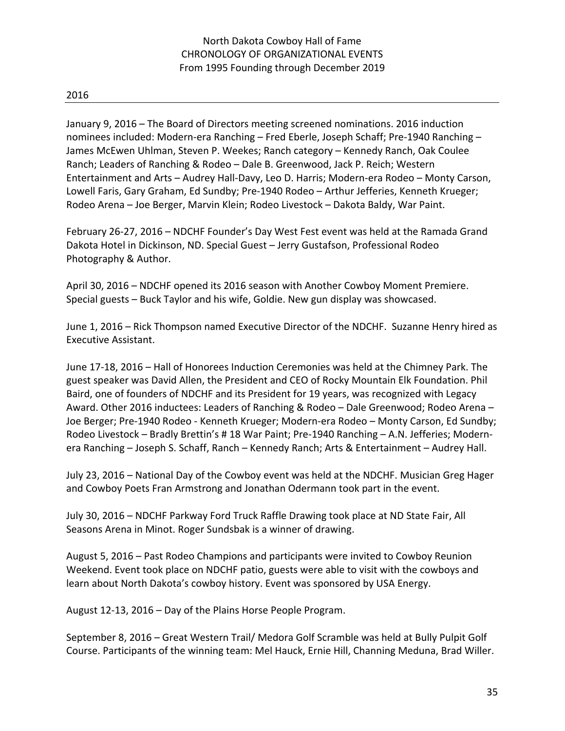January 9, 2016 – The Board of Directors meeting screened nominations. 2016 induction nominees included: Modern-era Ranching – Fred Eberle, Joseph Schaff; Pre-1940 Ranching – James McEwen Uhlman, Steven P. Weekes; Ranch category – Kennedy Ranch, Oak Coulee Ranch; Leaders of Ranching & Rodeo – Dale B. Greenwood, Jack P. Reich; Western Entertainment and Arts – Audrey Hall-Davy, Leo D. Harris; Modern-era Rodeo – Monty Carson, Lowell Faris, Gary Graham, Ed Sundby; Pre-1940 Rodeo – Arthur Jefferies, Kenneth Krueger; Rodeo Arena – Joe Berger, Marvin Klein; Rodeo Livestock – Dakota Baldy, War Paint.

February 26-27, 2016 – NDCHF Founder's Day West Fest event was held at the Ramada Grand Dakota Hotel in Dickinson, ND. Special Guest – Jerry Gustafson, Professional Rodeo Photography & Author.

April 30, 2016 – NDCHF opened its 2016 season with Another Cowboy Moment Premiere. Special guests – Buck Taylor and his wife, Goldie. New gun display was showcased.

June 1, 2016 – Rick Thompson named Executive Director of the NDCHF. Suzanne Henry hired as Executive Assistant.

June 17-18, 2016 – Hall of Honorees Induction Ceremonies was held at the Chimney Park. The guest speaker was David Allen, the President and CEO of Rocky Mountain Elk Foundation. Phil Baird, one of founders of NDCHF and its President for 19 years, was recognized with Legacy Award. Other 2016 inductees: Leaders of Ranching & Rodeo – Dale Greenwood; Rodeo Arena – Joe Berger; Pre-1940 Rodeo - Kenneth Krueger; Modern-era Rodeo – Monty Carson, Ed Sundby; Rodeo Livestock – Bradly Brettin's # 18 War Paint; Pre-1940 Ranching – A.N. Jefferies; Modernera Ranching – Joseph S. Schaff, Ranch – Kennedy Ranch; Arts & Entertainment – Audrey Hall.

July 23, 2016 – National Day of the Cowboy event was held at the NDCHF. Musician Greg Hager and Cowboy Poets Fran Armstrong and Jonathan Odermann took part in the event.

July 30, 2016 – NDCHF Parkway Ford Truck Raffle Drawing took place at ND State Fair, All Seasons Arena in Minot. Roger Sundsbak is a winner of drawing.

August 5, 2016 – Past Rodeo Champions and participants were invited to Cowboy Reunion Weekend. Event took place on NDCHF patio, guests were able to visit with the cowboys and learn about North Dakota's cowboy history. Event was sponsored by USA Energy.

August 12-13, 2016 – Day of the Plains Horse People Program.

September 8, 2016 – Great Western Trail/ Medora Golf Scramble was held at Bully Pulpit Golf Course. Participants of the winning team: Mel Hauck, Ernie Hill, Channing Meduna, Brad Willer.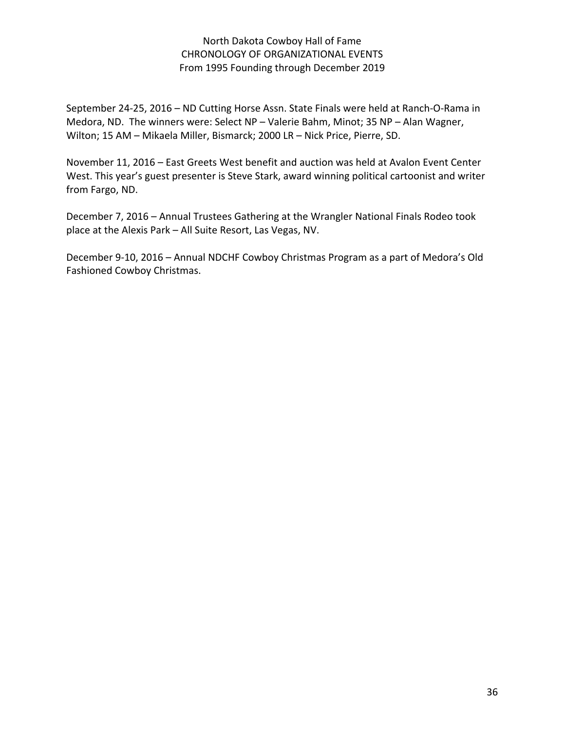September 24-25, 2016 – ND Cutting Horse Assn. State Finals were held at Ranch-O-Rama in Medora, ND. The winners were: Select NP – Valerie Bahm, Minot; 35 NP – Alan Wagner, Wilton; 15 AM – Mikaela Miller, Bismarck; 2000 LR – Nick Price, Pierre, SD.

November 11, 2016 – East Greets West benefit and auction was held at Avalon Event Center West. This year's guest presenter is Steve Stark, award winning political cartoonist and writer from Fargo, ND.

December 7, 2016 – Annual Trustees Gathering at the Wrangler National Finals Rodeo took place at the Alexis Park – All Suite Resort, Las Vegas, NV.

December 9-10, 2016 – Annual NDCHF Cowboy Christmas Program as a part of Medora's Old Fashioned Cowboy Christmas.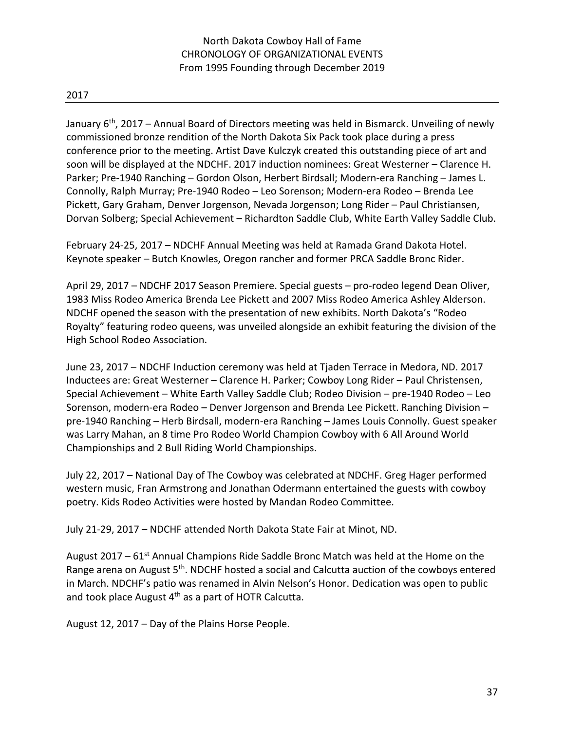January  $6<sup>th</sup>$ , 2017 – Annual Board of Directors meeting was held in Bismarck. Unveiling of newly commissioned bronze rendition of the North Dakota Six Pack took place during a press conference prior to the meeting. Artist Dave Kulczyk created this outstanding piece of art and soon will be displayed at the NDCHF. 2017 induction nominees: Great Westerner – Clarence H. Parker; Pre-1940 Ranching – Gordon Olson, Herbert Birdsall; Modern-era Ranching – James L. Connolly, Ralph Murray; Pre-1940 Rodeo – Leo Sorenson; Modern-era Rodeo – Brenda Lee Pickett, Gary Graham, Denver Jorgenson, Nevada Jorgenson; Long Rider – Paul Christiansen, Dorvan Solberg; Special Achievement – Richardton Saddle Club, White Earth Valley Saddle Club.

February 24-25, 2017 – NDCHF Annual Meeting was held at Ramada Grand Dakota Hotel. Keynote speaker – Butch Knowles, Oregon rancher and former PRCA Saddle Bronc Rider.

April 29, 2017 – NDCHF 2017 Season Premiere. Special guests – pro-rodeo legend Dean Oliver, 1983 Miss Rodeo America Brenda Lee Pickett and 2007 Miss Rodeo America Ashley Alderson. NDCHF opened the season with the presentation of new exhibits. North Dakota's "Rodeo Royalty" featuring rodeo queens, was unveiled alongside an exhibit featuring the division of the High School Rodeo Association.

June 23, 2017 – NDCHF Induction ceremony was held at Tjaden Terrace in Medora, ND. 2017 Inductees are: Great Westerner – Clarence H. Parker; Cowboy Long Rider – Paul Christensen, Special Achievement – White Earth Valley Saddle Club; Rodeo Division – pre-1940 Rodeo – Leo Sorenson, modern-era Rodeo – Denver Jorgenson and Brenda Lee Pickett. Ranching Division – pre-1940 Ranching – Herb Birdsall, modern-era Ranching – James Louis Connolly. Guest speaker was Larry Mahan, an 8 time Pro Rodeo World Champion Cowboy with 6 All Around World Championships and 2 Bull Riding World Championships.

July 22, 2017 – National Day of The Cowboy was celebrated at NDCHF. Greg Hager performed western music, Fran Armstrong and Jonathan Odermann entertained the guests with cowboy poetry. Kids Rodeo Activities were hosted by Mandan Rodeo Committee.

July 21-29, 2017 – NDCHF attended North Dakota State Fair at Minot, ND.

August 2017 –  $61<sup>st</sup>$  Annual Champions Ride Saddle Bronc Match was held at the Home on the Range arena on August 5<sup>th</sup>. NDCHF hosted a social and Calcutta auction of the cowboys entered in March. NDCHF's patio was renamed in Alvin Nelson's Honor. Dedication was open to public and took place August  $4<sup>th</sup>$  as a part of HOTR Calcutta.

August 12, 2017 – Day of the Plains Horse People.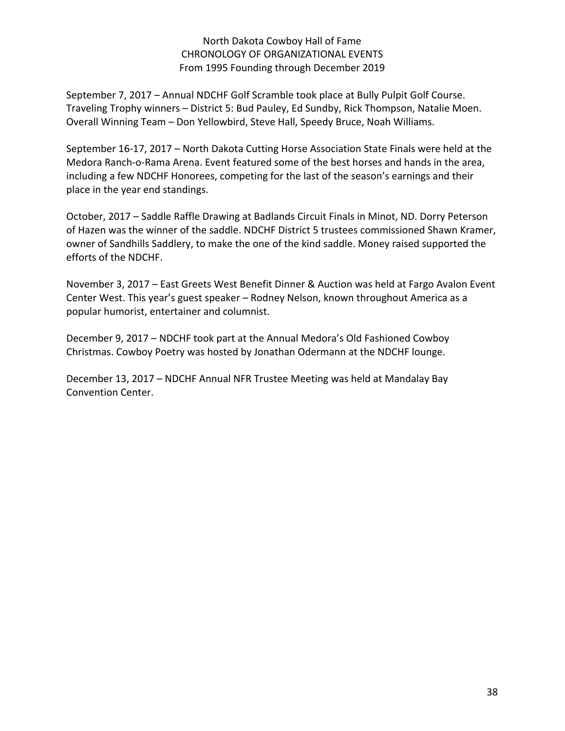September 7, 2017 – Annual NDCHF Golf Scramble took place at Bully Pulpit Golf Course. Traveling Trophy winners – District 5: Bud Pauley, Ed Sundby, Rick Thompson, Natalie Moen. Overall Winning Team – Don Yellowbird, Steve Hall, Speedy Bruce, Noah Williams.

September 16-17, 2017 – North Dakota Cutting Horse Association State Finals were held at the Medora Ranch-o-Rama Arena. Event featured some of the best horses and hands in the area, including a few NDCHF Honorees, competing for the last of the season's earnings and their place in the year end standings.

October, 2017 – Saddle Raffle Drawing at Badlands Circuit Finals in Minot, ND. Dorry Peterson of Hazen was the winner of the saddle. NDCHF District 5 trustees commissioned Shawn Kramer, owner of Sandhills Saddlery, to make the one of the kind saddle. Money raised supported the efforts of the NDCHF.

November 3, 2017 – East Greets West Benefit Dinner & Auction was held at Fargo Avalon Event Center West. This year's guest speaker – Rodney Nelson, known throughout America as a popular humorist, entertainer and columnist.

December 9, 2017 – NDCHF took part at the Annual Medora's Old Fashioned Cowboy Christmas. Cowboy Poetry was hosted by Jonathan Odermann at the NDCHF lounge.

December 13, 2017 – NDCHF Annual NFR Trustee Meeting was held at Mandalay Bay Convention Center.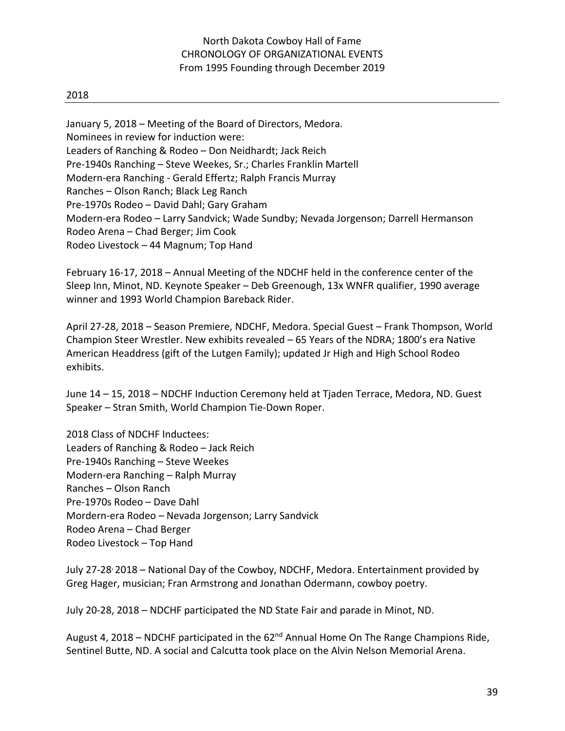#### 2018

January 5, 2018 – Meeting of the Board of Directors, Medora. Nominees in review for induction were: Leaders of Ranching & Rodeo – Don Neidhardt; Jack Reich Pre-1940s Ranching – Steve Weekes, Sr.; Charles Franklin Martell Modern-era Ranching - Gerald Effertz; Ralph Francis Murray Ranches – Olson Ranch; Black Leg Ranch Pre-1970s Rodeo – David Dahl; Gary Graham Modern-era Rodeo – Larry Sandvick; Wade Sundby; Nevada Jorgenson; Darrell Hermanson Rodeo Arena – Chad Berger; Jim Cook Rodeo Livestock – 44 Magnum; Top Hand

February 16-17, 2018 – Annual Meeting of the NDCHF held in the conference center of the Sleep Inn, Minot, ND. Keynote Speaker – Deb Greenough, 13x WNFR qualifier, 1990 average winner and 1993 World Champion Bareback Rider.

April 27-28, 2018 – Season Premiere, NDCHF, Medora. Special Guest – Frank Thompson, World Champion Steer Wrestler. New exhibits revealed – 65 Years of the NDRA; 1800's era Native American Headdress (gift of the Lutgen Family); updated Jr High and High School Rodeo exhibits.

June 14 – 15, 2018 – NDCHF Induction Ceremony held at Tjaden Terrace, Medora, ND. Guest Speaker – Stran Smith, World Champion Tie-Down Roper.

2018 Class of NDCHF Inductees: Leaders of Ranching & Rodeo – Jack Reich Pre-1940s Ranching – Steve Weekes Modern-era Ranching – Ralph Murray Ranches – Olson Ranch Pre-1970s Rodeo – Dave Dahl Mordern-era Rodeo – Nevada Jorgenson; Larry Sandvick Rodeo Arena – Chad Berger Rodeo Livestock – Top Hand

July 27-28, 2018 – National Day of the Cowboy, NDCHF, Medora. Entertainment provided by Greg Hager, musician; Fran Armstrong and Jonathan Odermann, cowboy poetry.

July 20-28, 2018 – NDCHF participated the ND State Fair and parade in Minot, ND.

August 4, 2018 – NDCHF participated in the  $62<sup>nd</sup>$  Annual Home On The Range Champions Ride, Sentinel Butte, ND. A social and Calcutta took place on the Alvin Nelson Memorial Arena.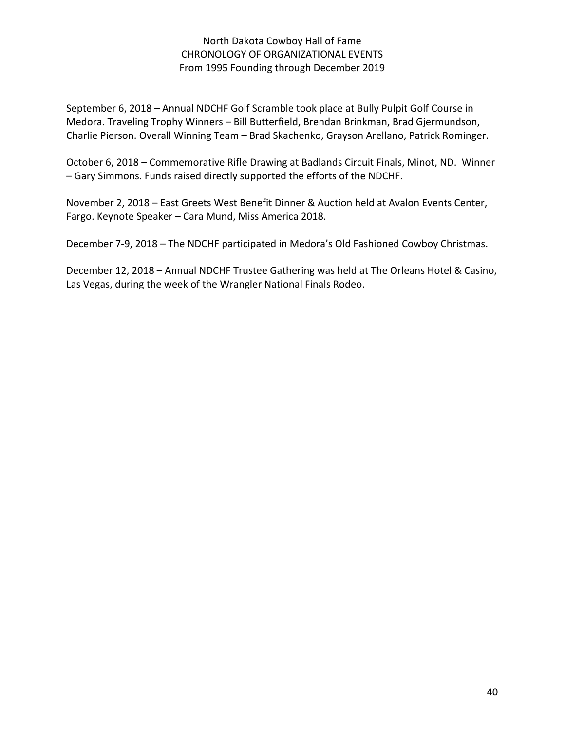September 6, 2018 – Annual NDCHF Golf Scramble took place at Bully Pulpit Golf Course in Medora. Traveling Trophy Winners – Bill Butterfield, Brendan Brinkman, Brad Gjermundson, Charlie Pierson. Overall Winning Team – Brad Skachenko, Grayson Arellano, Patrick Rominger.

October 6, 2018 – Commemorative Rifle Drawing at Badlands Circuit Finals, Minot, ND. Winner – Gary Simmons. Funds raised directly supported the efforts of the NDCHF.

November 2, 2018 – East Greets West Benefit Dinner & Auction held at Avalon Events Center, Fargo. Keynote Speaker – Cara Mund, Miss America 2018.

December 7-9, 2018 – The NDCHF participated in Medora's Old Fashioned Cowboy Christmas.

December 12, 2018 – Annual NDCHF Trustee Gathering was held at The Orleans Hotel & Casino, Las Vegas, during the week of the Wrangler National Finals Rodeo.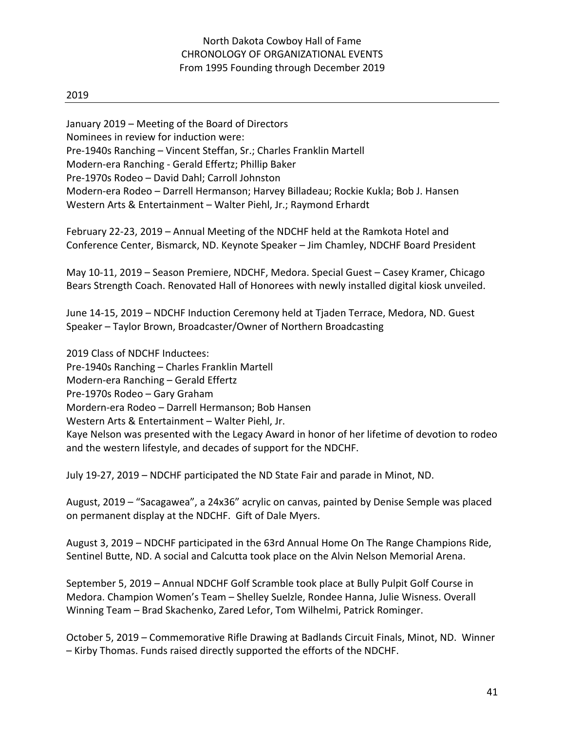2019

January 2019 – Meeting of the Board of Directors Nominees in review for induction were: Pre-1940s Ranching – Vincent Steffan, Sr.; Charles Franklin Martell Modern-era Ranching - Gerald Effertz; Phillip Baker Pre-1970s Rodeo – David Dahl; Carroll Johnston Modern-era Rodeo – Darrell Hermanson; Harvey Billadeau; Rockie Kukla; Bob J. Hansen Western Arts & Entertainment – Walter Piehl, Jr.; Raymond Erhardt

February 22-23, 2019 – Annual Meeting of the NDCHF held at the Ramkota Hotel and Conference Center, Bismarck, ND. Keynote Speaker – Jim Chamley, NDCHF Board President

May 10-11, 2019 – Season Premiere, NDCHF, Medora. Special Guest – Casey Kramer, Chicago Bears Strength Coach. Renovated Hall of Honorees with newly installed digital kiosk unveiled.

June 14-15, 2019 – NDCHF Induction Ceremony held at Tjaden Terrace, Medora, ND. Guest Speaker – Taylor Brown, Broadcaster/Owner of Northern Broadcasting

2019 Class of NDCHF Inductees: Pre-1940s Ranching – Charles Franklin Martell Modern-era Ranching – Gerald Effertz Pre-1970s Rodeo – Gary Graham Mordern-era Rodeo – Darrell Hermanson; Bob Hansen Western Arts & Entertainment – Walter Piehl, Jr. Kaye Nelson was presented with the Legacy Award in honor of her lifetime of devotion to rodeo and the western lifestyle, and decades of support for the NDCHF.

July 19-27, 2019 – NDCHF participated the ND State Fair and parade in Minot, ND.

August, 2019 – "Sacagawea", a 24x36" acrylic on canvas, painted by Denise Semple was placed on permanent display at the NDCHF. Gift of Dale Myers.

August 3, 2019 – NDCHF participated in the 63rd Annual Home On The Range Champions Ride, Sentinel Butte, ND. A social and Calcutta took place on the Alvin Nelson Memorial Arena.

September 5, 2019 – Annual NDCHF Golf Scramble took place at Bully Pulpit Golf Course in Medora. Champion Women's Team – Shelley Suelzle, Rondee Hanna, Julie Wisness. Overall Winning Team – Brad Skachenko, Zared Lefor, Tom Wilhelmi, Patrick Rominger.

October 5, 2019 – Commemorative Rifle Drawing at Badlands Circuit Finals, Minot, ND. Winner – Kirby Thomas. Funds raised directly supported the efforts of the NDCHF.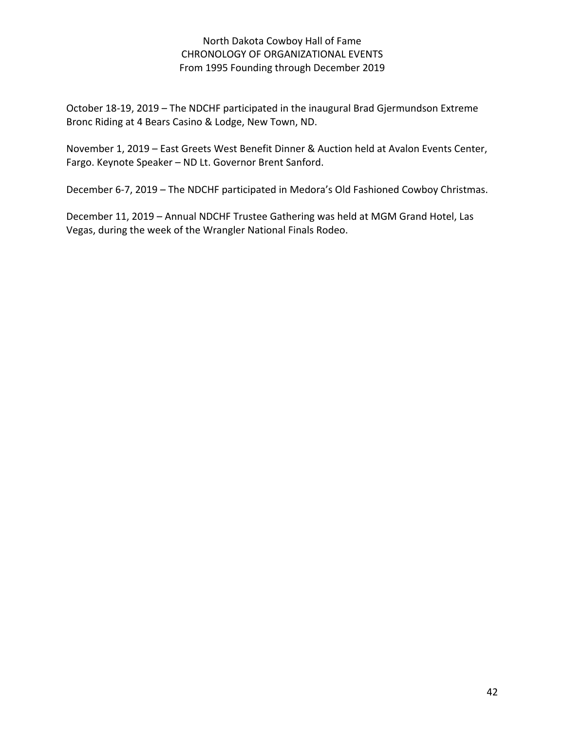October 18-19, 2019 – The NDCHF participated in the inaugural Brad Gjermundson Extreme Bronc Riding at 4 Bears Casino & Lodge, New Town, ND.

November 1, 2019 – East Greets West Benefit Dinner & Auction held at Avalon Events Center, Fargo. Keynote Speaker – ND Lt. Governor Brent Sanford.

December 6-7, 2019 – The NDCHF participated in Medora's Old Fashioned Cowboy Christmas.

December 11, 2019 – Annual NDCHF Trustee Gathering was held at MGM Grand Hotel, Las Vegas, during the week of the Wrangler National Finals Rodeo.